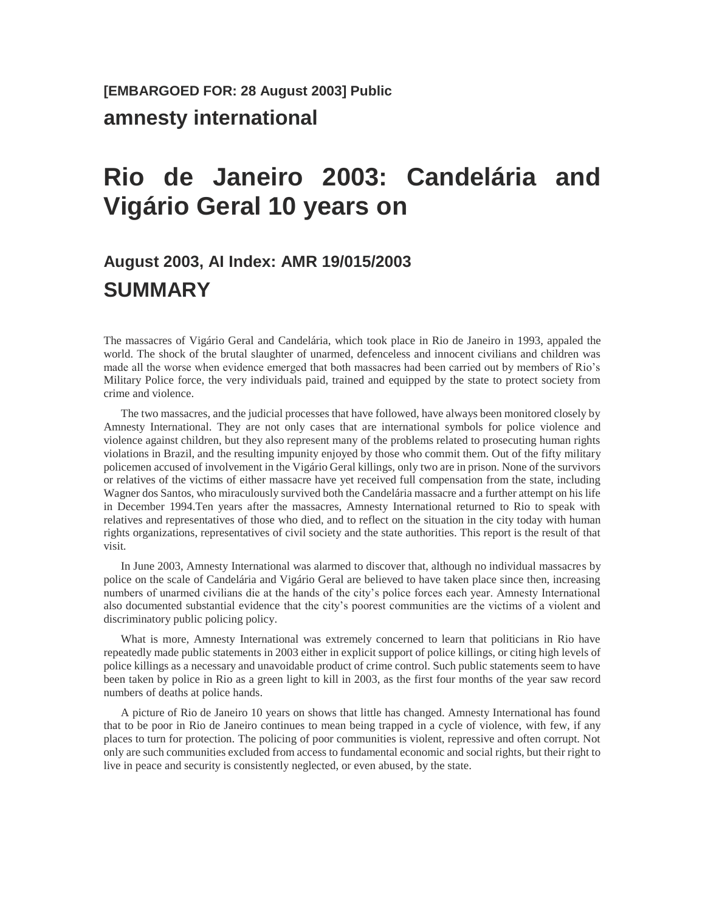# **[EMBARGOED FOR: 28 August 2003] Public amnesty international**

# **Rio de Janeiro 2003: Candelária and Vigário Geral 10 years on**

# **August 2003, AI Index: AMR 19/015/2003 SUMMARY**

The massacres of Vigário Geral and Candelária, which took place in Rio de Janeiro in 1993, appaled the world. The shock of the brutal slaughter of unarmed, defenceless and innocent civilians and children was made all the worse when evidence emerged that both massacres had been carried out by members of Rio's Military Police force, the very individuals paid, trained and equipped by the state to protect society from crime and violence.

The two massacres, and the judicial processes that have followed, have always been monitored closely by Amnesty International. They are not only cases that are international symbols for police violence and violence against children, but they also represent many of the problems related to prosecuting human rights violations in Brazil, and the resulting impunity enjoyed by those who commit them. Out of the fifty military policemen accused of involvement in the Vigário Geral killings, only two are in prison. None of the survivors or relatives of the victims of either massacre have yet received full compensation from the state, including Wagner dos Santos, who miraculously survived both the Candelária massacre and a further attempt on his life in December 1994.Ten years after the massacres, Amnesty International returned to Rio to speak with relatives and representatives of those who died, and to reflect on the situation in the city today with human rights organizations, representatives of civil society and the state authorities. This report is the result of that visit.

In June 2003, Amnesty International was alarmed to discover that, although no individual massacres by police on the scale of Candelária and Vigário Geral are believed to have taken place since then, increasing numbers of unarmed civilians die at the hands of the city's police forces each year. Amnesty International also documented substantial evidence that the city's poorest communities are the victims of a violent and discriminatory public policing policy.

What is more, Amnesty International was extremely concerned to learn that politicians in Rio have repeatedly made public statements in 2003 either in explicit support of police killings, or citing high levels of police killings as a necessary and unavoidable product of crime control. Such public statements seem to have been taken by police in Rio as a green light to kill in 2003, as the first four months of the year saw record numbers of deaths at police hands.

A picture of Rio de Janeiro 10 years on shows that little has changed. Amnesty International has found that to be poor in Rio de Janeiro continues to mean being trapped in a cycle of violence, with few, if any places to turn for protection. The policing of poor communities is violent, repressive and often corrupt. Not only are such communities excluded from access to fundamental economic and social rights, but their right to live in peace and security is consistently neglected, or even abused, by the state.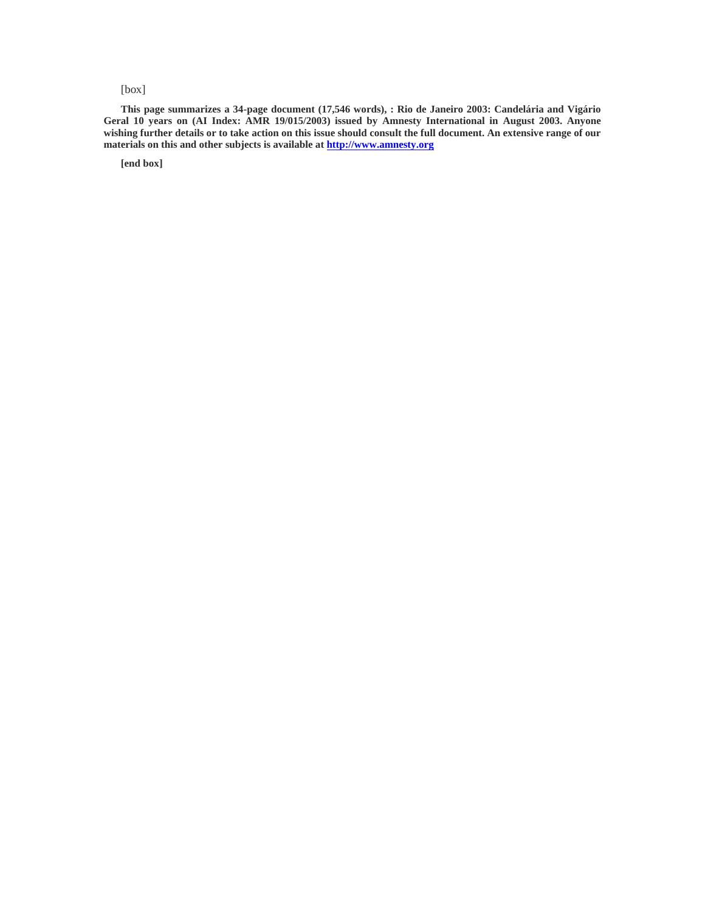#### [box]

**This page summarizes a 34-page document (17,546 words), : Rio de Janeiro 2003: Candelária and Vigário Geral 10 years on (AI Index: AMR 19/015/2003) issued by Amnesty International in August 2003. Anyone wishing further details or to take action on this issue should consult the full document. An extensive range of our materials on this and other subjects is available at [http://www.amnesty.org](http://www.amnesty.org/)**

**[end box]**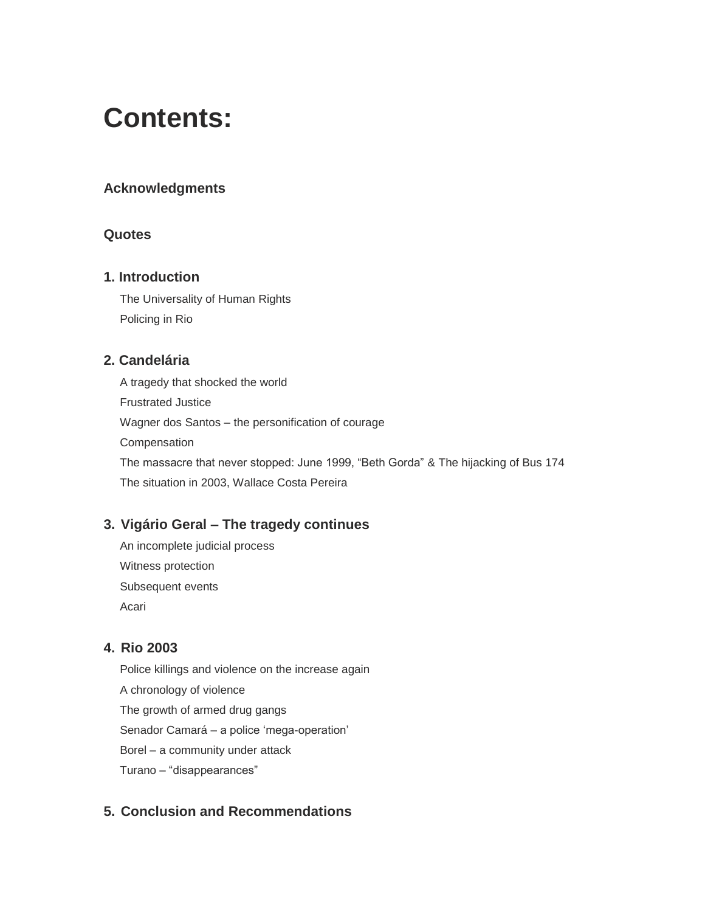# **Contents:**

## **Acknowledgments**

### **Quotes**

### **1. Introduction**

The Universality of Human Rights Policing in Rio

## **2. Candelária**

A tragedy that shocked the world Frustrated Justice Wagner dos Santos – the personification of courage Compensation The massacre that never stopped: June 1999, "Beth Gorda" & The hijacking of Bus 174 The situation in 2003, Wallace Costa Pereira

# **3. Vigário Geral – The tragedy continues**

An incomplete judicial process Witness protection Subsequent events Acari

## **4. Rio 2003**

Police killings and violence on the increase again A chronology of violence The growth of armed drug gangs Senador Camará – a police 'mega-operation' Borel – a community under attack Turano – "disappearances"

# **5. Conclusion and Recommendations**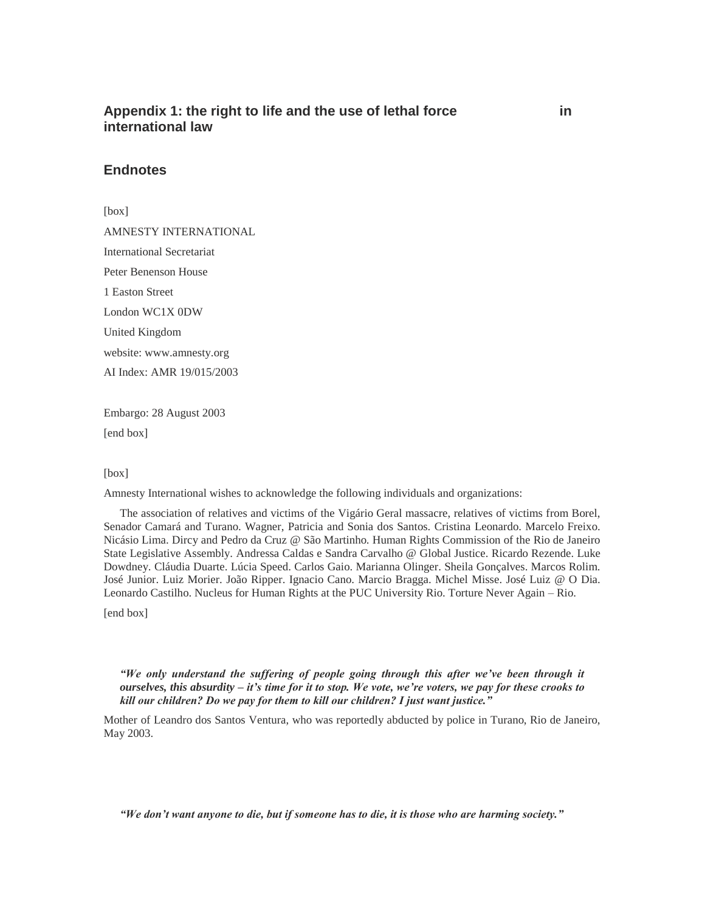### Appendix 1: the right to life and the use of lethal force in **international law**

#### **Endnotes**

[box]

AMNESTY INTERNATIONAL International Secretariat Peter Benenson House 1 Easton Street London WC1X 0DW United Kingdom website: www.amnesty.org AI Index: AMR 19/015/2003

Embargo: 28 August 2003 [end box]

#### [box]

Amnesty International wishes to acknowledge the following individuals and organizations:

The association of relatives and victims of the Vigário Geral massacre, relatives of victims from Borel, Senador Camará and Turano. Wagner, Patricia and Sonia dos Santos. Cristina Leonardo. Marcelo Freixo. Nicásio Lima. Dircy and Pedro da Cruz @ São Martinho. Human Rights Commission of the Rio de Janeiro State Legislative Assembly. Andressa Caldas e Sandra Carvalho @ Global Justice. Ricardo Rezende. Luke Dowdney. Cláudia Duarte. Lúcia Speed. Carlos Gaio. Marianna Olinger. Sheila Gonçalves. Marcos Rolim. José Junior. Luiz Morier. João Ripper. Ignacio Cano. Marcio Bragga. Michel Misse. José Luiz @ O Dia. Leonardo Castilho. Nucleus for Human Rights at the PUC University Rio. Torture Never Again – Rio.

[end box]

*"We only understand the suffering of people going through this after we've been through it ourselves, this absurdity – it's time for it to stop. We vote, we're voters, we pay for these crooks to kill our children? Do we pay for them to kill our children? I just want justice."*

Mother of Leandro dos Santos Ventura, who was reportedly abducted by police in Turano, Rio de Janeiro, May 2003.

*"We don't want anyone to die, but if someone has to die, it is those who are harming society."*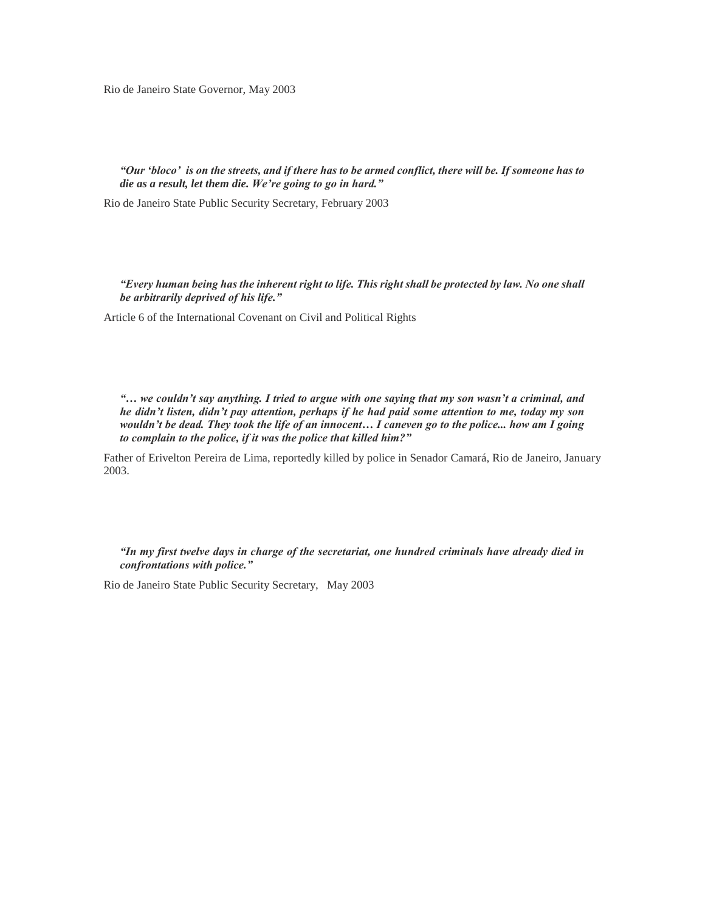Rio de Janeiro State Governor, May 2003

*"Our 'bloco' is on the streets, and if there has to be armed conflict, there will be. If someone has to die as a result, let them die. We're going to go in hard."*

Rio de Janeiro State Public Security Secretary, February 2003

*"Every human being has the inherent right to life. This right shall be protected by law. No one shall be arbitrarily deprived of his life."*

Article 6 of the International Covenant on Civil and Political Rights

*"… we couldn't say anything. I tried to argue with one saying that my son wasn't a criminal, and he didn't listen, didn't pay attention, perhaps if he had paid some attention to me, today my son wouldn't be dead. They took the life of an innocent… I caneven go to the police... how am I going to complain to the police, if it was the police that killed him?"*

Father of Erivelton Pereira de Lima, reportedly killed by police in Senador Camará, Rio de Janeiro, January 2003.

*"In my first twelve days in charge of the secretariat, one hundred criminals have already died in confrontations with police."*

Rio de Janeiro State Public Security Secretary, May 2003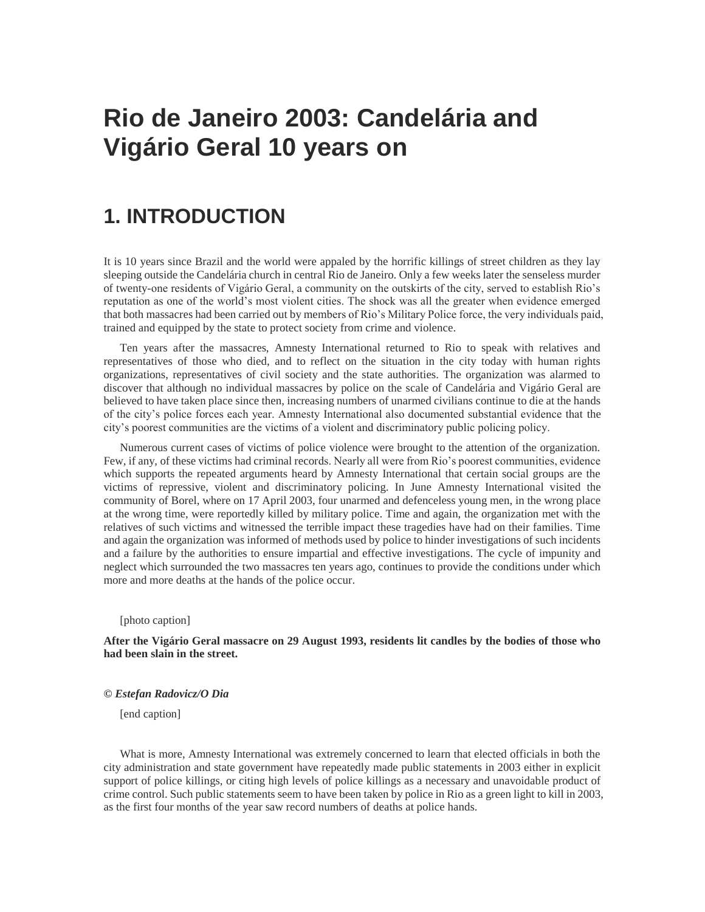# **Rio de Janeiro 2003: Candelária and Vigário Geral 10 years on**

# **1. INTRODUCTION**

It is 10 years since Brazil and the world were appaled by the horrific killings of street children as they lay sleeping outside the Candelária church in central Rio de Janeiro. Only a few weeks later the senseless murder of twenty-one residents of Vigário Geral, a community on the outskirts of the city, served to establish Rio's reputation as one of the world's most violent cities. The shock was all the greater when evidence emerged that both massacres had been carried out by members of Rio's Military Police force, the very individuals paid, trained and equipped by the state to protect society from crime and violence.

Ten years after the massacres, Amnesty International returned to Rio to speak with relatives and representatives of those who died, and to reflect on the situation in the city today with human rights organizations, representatives of civil society and the state authorities. The organization was alarmed to discover that although no individual massacres by police on the scale of Candelária and Vigário Geral are believed to have taken place since then, increasing numbers of unarmed civilians continue to die at the hands of the city's police forces each year. Amnesty International also documented substantial evidence that the city's poorest communities are the victims of a violent and discriminatory public policing policy.

Numerous current cases of victims of police violence were brought to the attention of the organization. Few, if any, of these victims had criminal records. Nearly all were from Rio's poorest communities, evidence which supports the repeated arguments heard by Amnesty International that certain social groups are the victims of repressive, violent and discriminatory policing. In June Amnesty International visited the community of Borel, where on 17 April 2003, four unarmed and defenceless young men, in the wrong place at the wrong time, were reportedly killed by military police. Time and again, the organization met with the relatives of such victims and witnessed the terrible impact these tragedies have had on their families. Time and again the organization was informed of methods used by police to hinder investigations of such incidents and a failure by the authorities to ensure impartial and effective investigations. The cycle of impunity and neglect which surrounded the two massacres ten years ago, continues to provide the conditions under which more and more deaths at the hands of the police occur.

#### [photo caption]

#### **After the Vigário Geral massacre on 29 August 1993, residents lit candles by the bodies of those who had been slain in the street.**

#### *© Estefan Radovicz/O Dia*

[end caption]

What is more, Amnesty International was extremely concerned to learn that elected officials in both the city administration and state government have repeatedly made public statements in 2003 either in explicit support of police killings, or citing high levels of police killings as a necessary and unavoidable product of crime control. Such public statements seem to have been taken by police in Rio as a green light to kill in 2003, as the first four months of the year saw record numbers of deaths at police hands.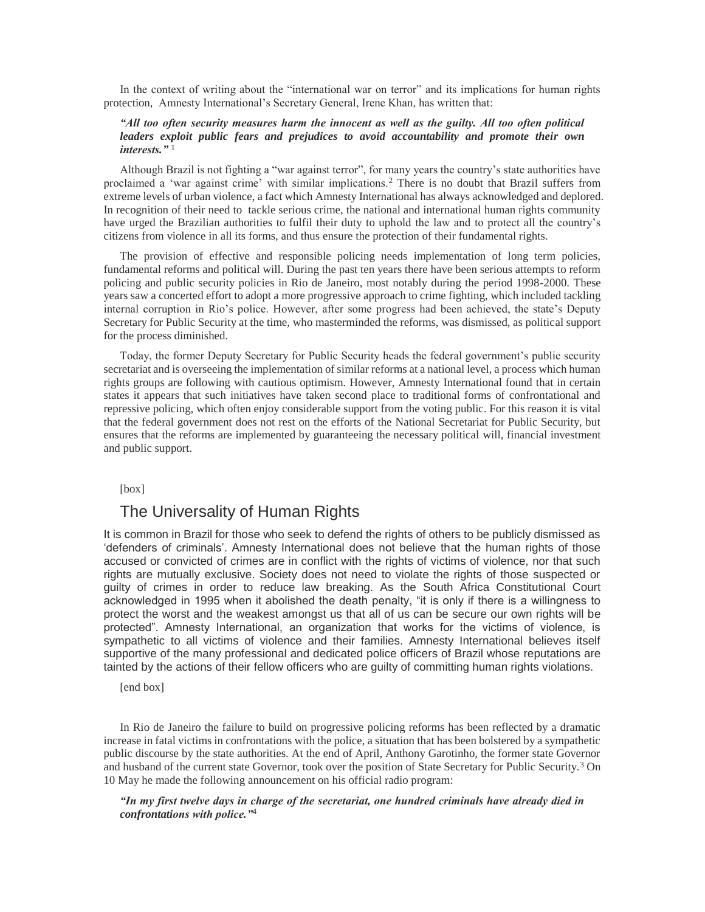In the context of writing about the "international war on terror" and its implications for human rights protection, Amnesty International's Secretary General, Irene Khan, has written that:

#### *"All too often security measures harm the innocent as well as the guilty. All too often political leaders exploit public fears and prejudices to avoid accountability and promote their own interests."* <sup>1</sup>

Although Brazil is not fighting a "war against terror", for many years the country's state authorities have proclaimed a 'war against crime' with similar implications.<sup>2</sup> There is no doubt that Brazil suffers from extreme levels of urban violence, a fact which Amnesty International has always acknowledged and deplored. In recognition of their need to tackle serious crime, the national and international human rights community have urged the Brazilian authorities to fulfil their duty to uphold the law and to protect all the country's citizens from violence in all its forms, and thus ensure the protection of their fundamental rights.

The provision of effective and responsible policing needs implementation of long term policies, fundamental reforms and political will. During the past ten years there have been serious attempts to reform policing and public security policies in Rio de Janeiro, most notably during the period 1998-2000. These years saw a concerted effort to adopt a more progressive approach to crime fighting, which included tackling internal corruption in Rio's police. However, after some progress had been achieved, the state's Deputy Secretary for Public Security at the time, who masterminded the reforms, was dismissed, as political support for the process diminished.

Today, the former Deputy Secretary for Public Security heads the federal government's public security secretariat and is overseeing the implementation of similar reforms at a national level, a process which human rights groups are following with cautious optimism. However, Amnesty International found that in certain states it appears that such initiatives have taken second place to traditional forms of confrontational and repressive policing, which often enjoy considerable support from the voting public. For this reason it is vital that the federal government does not rest on the efforts of the National Secretariat for Public Security, but ensures that the reforms are implemented by guaranteeing the necessary political will, financial investment and public support.

[box]

#### The Universality of Human Rights

It is common in Brazil for those who seek to defend the rights of others to be publicly dismissed as 'defenders of criminals'. Amnesty International does not believe that the human rights of those accused or convicted of crimes are in conflict with the rights of victims of violence, nor that such rights are mutually exclusive. Society does not need to violate the rights of those suspected or guilty of crimes in order to reduce law breaking. As the South Africa Constitutional Court acknowledged in 1995 when it abolished the death penalty, "it is only if there is a willingness to protect the worst and the weakest amongst us that all of us can be secure our own rights will be protected". Amnesty International, an organization that works for the victims of violence, is sympathetic to all victims of violence and their families. Amnesty International believes itself supportive of the many professional and dedicated police officers of Brazil whose reputations are tainted by the actions of their fellow officers who are guilty of committing human rights violations.

[end box]

In Rio de Janeiro the failure to build on progressive policing reforms has been reflected by a dramatic increase in fatal victims in confrontations with the police, a situation that has been bolstered by a sympathetic public discourse by the state authorities. At the end of April, Anthony Garotinho, the former state Governor and husband of the current state Governor, took over the position of State Secretary for Public Security.<sup>3</sup> On 10 May he made the following announcement on his official radio program:

*"In my first twelve days in charge of the secretariat, one hundred criminals have already died in confrontations with police."*4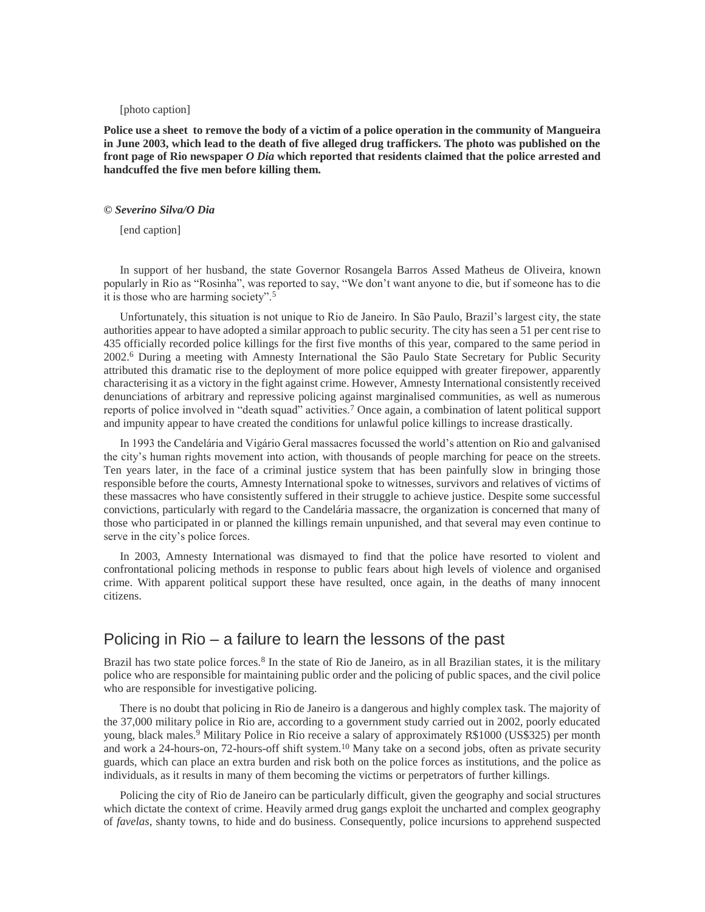#### [photo caption]

**Police use a sheet to remove the body of a victim of a police operation in the community of Mangueira in June 2003, which lead to the death of five alleged drug traffickers. The photo was published on the front page of Rio newspaper** *O Dia* **which reported that residents claimed that the police arrested and handcuffed the five men before killing them.** 

#### *© Severino Silva/O Dia*

[end caption]

In support of her husband, the state Governor Rosangela Barros Assed Matheus de Oliveira, known popularly in Rio as "Rosinha", was reported to say, "We don't want anyone to die, but if someone has to die it is those who are harming society".<sup>5</sup>

Unfortunately, this situation is not unique to Rio de Janeiro. In São Paulo, Brazil's largest city, the state authorities appear to have adopted a similar approach to public security. The city has seen a 51 per cent rise to 435 officially recorded police killings for the first five months of this year, compared to the same period in 2002.<sup>6</sup> During a meeting with Amnesty International the São Paulo State Secretary for Public Security attributed this dramatic rise to the deployment of more police equipped with greater firepower, apparently characterising it as a victory in the fight against crime. However, Amnesty International consistently received denunciations of arbitrary and repressive policing against marginalised communities, as well as numerous reports of police involved in "death squad" activities.<sup>7</sup> Once again, a combination of latent political support and impunity appear to have created the conditions for unlawful police killings to increase drastically.

In 1993 the Candelária and Vigário Geral massacres focussed the world's attention on Rio and galvanised the city's human rights movement into action, with thousands of people marching for peace on the streets. Ten years later, in the face of a criminal justice system that has been painfully slow in bringing those responsible before the courts, Amnesty International spoke to witnesses, survivors and relatives of victims of these massacres who have consistently suffered in their struggle to achieve justice. Despite some successful convictions, particularly with regard to the Candelária massacre, the organization is concerned that many of those who participated in or planned the killings remain unpunished, and that several may even continue to serve in the city's police forces.

In 2003, Amnesty International was dismayed to find that the police have resorted to violent and confrontational policing methods in response to public fears about high levels of violence and organised crime. With apparent political support these have resulted, once again, in the deaths of many innocent citizens.

### Policing in Rio – a failure to learn the lessons of the past

Brazil has two state police forces.<sup>8</sup> In the state of Rio de Janeiro, as in all Brazilian states, it is the military police who are responsible for maintaining public order and the policing of public spaces, and the civil police who are responsible for investigative policing.

There is no doubt that policing in Rio de Janeiro is a dangerous and highly complex task. The majority of the 37,000 military police in Rio are, according to a government study carried out in 2002, poorly educated young, black males.<sup>9</sup> Military Police in Rio receive a salary of approximately R\$1000 (US\$325) per month and work a 24-hours-on, 72-hours-off shift system.<sup>10</sup> Many take on a second jobs, often as private security guards, which can place an extra burden and risk both on the police forces as institutions, and the police as individuals, as it results in many of them becoming the victims or perpetrators of further killings.

Policing the city of Rio de Janeiro can be particularly difficult, given the geography and social structures which dictate the context of crime. Heavily armed drug gangs exploit the uncharted and complex geography of *favelas*, shanty towns, to hide and do business. Consequently, police incursions to apprehend suspected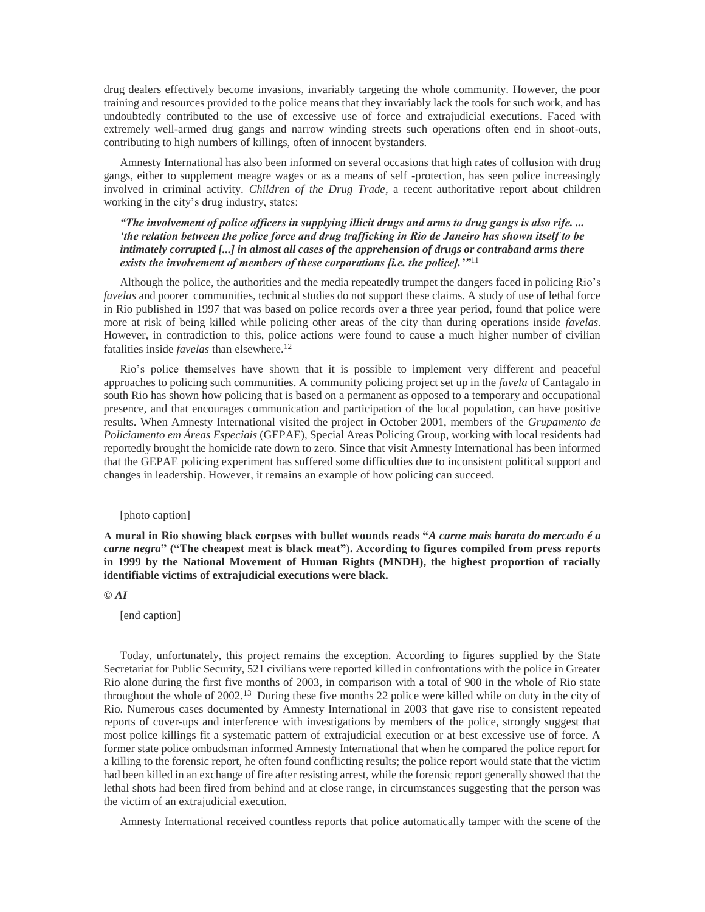drug dealers effectively become invasions, invariably targeting the whole community. However, the poor training and resources provided to the police means that they invariably lack the tools for such work, and has undoubtedly contributed to the use of excessive use of force and extrajudicial executions. Faced with extremely well-armed drug gangs and narrow winding streets such operations often end in shoot-outs, contributing to high numbers of killings, often of innocent bystanders.

Amnesty International has also been informed on several occasions that high rates of collusion with drug gangs, either to supplement meagre wages or as a means of self -protection, has seen police increasingly involved in criminal activity. *Children of the Drug Trade*, a recent authoritative report about children working in the city's drug industry, states:

#### *"The involvement of police officers in supplying illicit drugs and arms to drug gangs is also rife. ... 'the relation between the police force and drug trafficking in Rio de Janeiro has shown itself to be intimately corrupted [...] in almost all cases of the apprehension of drugs or contraband arms there exists the involvement of members of these corporations [i.e. the police].'"*<sup>11</sup>

Although the police, the authorities and the media repeatedly trumpet the dangers faced in policing Rio's *favelas* and poorer communities, technical studies do not support these claims. A study of use of lethal force in Rio published in 1997 that was based on police records over a three year period, found that police were more at risk of being killed while policing other areas of the city than during operations inside *favelas*. However, in contradiction to this, police actions were found to cause a much higher number of civilian fatalities inside *favelas* than elsewhere.<sup>12</sup>

Rio's police themselves have shown that it is possible to implement very different and peaceful approaches to policing such communities. A community policing project set up in the *favela* of Cantagalo in south Rio has shown how policing that is based on a permanent as opposed to a temporary and occupational presence, and that encourages communication and participation of the local population, can have positive results. When Amnesty International visited the project in October 2001, members of the *Grupamento de Policiamento em Áreas Especiais* (GEPAE), Special Areas Policing Group, working with local residents had reportedly brought the homicide rate down to zero. Since that visit Amnesty International has been informed that the GEPAE policing experiment has suffered some difficulties due to inconsistent political support and changes in leadership. However, it remains an example of how policing can succeed.

#### [photo caption]

**A mural in Rio showing black corpses with bullet wounds reads "***A carne mais barata do mercado é a carne negra***" ("The cheapest meat is black meat"). According to figures compiled from press reports in 1999 by the National Movement of Human Rights (MNDH), the highest proportion of racially identifiable victims of extrajudicial executions were black.** 

#### *© AI*

[end caption]

Today, unfortunately, this project remains the exception. According to figures supplied by the State Secretariat for Public Security, 521 civilians were reported killed in confrontations with the police in Greater Rio alone during the first five months of 2003, in comparison with a total of 900 in the whole of Rio state throughout the whole of 2002.<sup>13</sup> During these five months 22 police were killed while on duty in the city of Rio. Numerous cases documented by Amnesty International in 2003 that gave rise to consistent repeated reports of cover-ups and interference with investigations by members of the police, strongly suggest that most police killings fit a systematic pattern of extrajudicial execution or at best excessive use of force. A former state police ombudsman informed Amnesty International that when he compared the police report for a killing to the forensic report, he often found conflicting results; the police report would state that the victim had been killed in an exchange of fire after resisting arrest, while the forensic report generally showed that the lethal shots had been fired from behind and at close range, in circumstances suggesting that the person was the victim of an extrajudicial execution.

Amnesty International received countless reports that police automatically tamper with the scene of the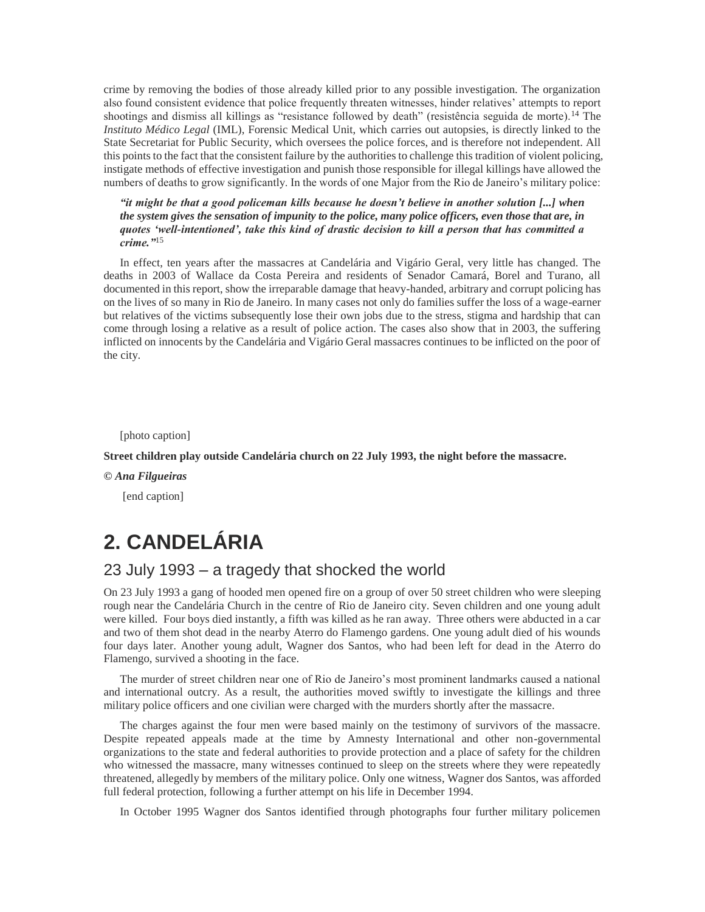crime by removing the bodies of those already killed prior to any possible investigation. The organization also found consistent evidence that police frequently threaten witnesses, hinder relatives' attempts to report shootings and dismiss all killings as "resistance followed by death" (resistência seguida de morte).<sup>14</sup> The *Instituto Médico Legal* (IML), Forensic Medical Unit, which carries out autopsies, is directly linked to the State Secretariat for Public Security, which oversees the police forces, and is therefore not independent. All this points to the fact that the consistent failure by the authorities to challenge this tradition of violent policing, instigate methods of effective investigation and punish those responsible for illegal killings have allowed the numbers of deaths to grow significantly. In the words of one Major from the Rio de Janeiro's military police:

*"it might be that a good policeman kills because he doesn't believe in another solution [...] when the system gives the sensation of impunity to the police, many police officers, even those that are, in quotes 'well-intentioned', take this kind of drastic decision to kill a person that has committed a crime."*<sup>15</sup>

In effect, ten years after the massacres at Candelária and Vigário Geral, very little has changed. The deaths in 2003 of Wallace da Costa Pereira and residents of Senador Camará, Borel and Turano, all documented in this report, show the irreparable damage that heavy-handed, arbitrary and corrupt policing has on the lives of so many in Rio de Janeiro. In many cases not only do families suffer the loss of a wage-earner but relatives of the victims subsequently lose their own jobs due to the stress, stigma and hardship that can come through losing a relative as a result of police action. The cases also show that in 2003, the suffering inflicted on innocents by the Candelária and Vigário Geral massacres continues to be inflicted on the poor of the city.

[photo caption]

**Street children play outside Candelária church on 22 July 1993, the night before the massacre.** 

*© Ana Filgueiras*

[end caption]

# **2. CANDELÁRIA**

# 23 July 1993 – a tragedy that shocked the world

On 23 July 1993 a gang of hooded men opened fire on a group of over 50 street children who were sleeping rough near the Candelária Church in the centre of Rio de Janeiro city. Seven children and one young adult were killed. Four boys died instantly, a fifth was killed as he ran away. Three others were abducted in a car and two of them shot dead in the nearby Aterro do Flamengo gardens. One young adult died of his wounds four days later. Another young adult, Wagner dos Santos, who had been left for dead in the Aterro do Flamengo, survived a shooting in the face.

The murder of street children near one of Rio de Janeiro's most prominent landmarks caused a national and international outcry. As a result, the authorities moved swiftly to investigate the killings and three military police officers and one civilian were charged with the murders shortly after the massacre.

The charges against the four men were based mainly on the testimony of survivors of the massacre. Despite repeated appeals made at the time by Amnesty International and other non-governmental organizations to the state and federal authorities to provide protection and a place of safety for the children who witnessed the massacre, many witnesses continued to sleep on the streets where they were repeatedly threatened, allegedly by members of the military police. Only one witness, Wagner dos Santos, was afforded full federal protection, following a further attempt on his life in December 1994.

In October 1995 Wagner dos Santos identified through photographs four further military policemen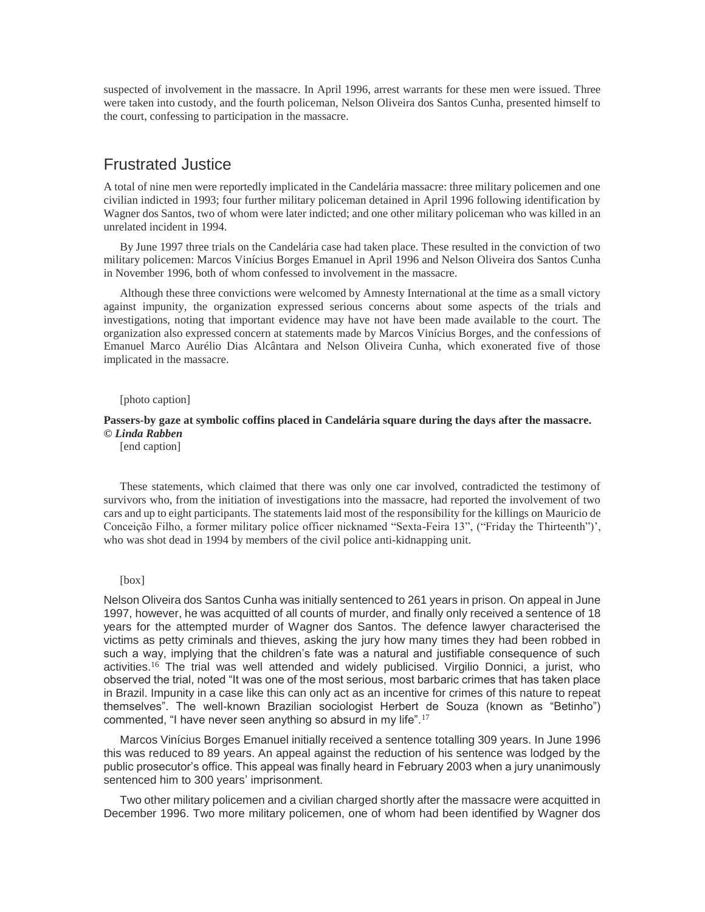suspected of involvement in the massacre. In April 1996, arrest warrants for these men were issued. Three were taken into custody, and the fourth policeman, Nelson Oliveira dos Santos Cunha, presented himself to the court, confessing to participation in the massacre.

### Frustrated Justice

A total of nine men were reportedly implicated in the Candelária massacre: three military policemen and one civilian indicted in 1993; four further military policeman detained in April 1996 following identification by Wagner dos Santos, two of whom were later indicted; and one other military policeman who was killed in an unrelated incident in 1994.

By June 1997 three trials on the Candelária case had taken place. These resulted in the conviction of two military policemen: Marcos Vinícius Borges Emanuel in April 1996 and Nelson Oliveira dos Santos Cunha in November 1996, both of whom confessed to involvement in the massacre.

Although these three convictions were welcomed by Amnesty International at the time as a small victory against impunity, the organization expressed serious concerns about some aspects of the trials and investigations, noting that important evidence may have not have been made available to the court. The organization also expressed concern at statements made by Marcos Vinícius Borges, and the confessions of Emanuel Marco Aurélio Dias Alcântara and Nelson Oliveira Cunha, which exonerated five of those implicated in the massacre.

#### [photo caption]

#### **Passers-by gaze at symbolic coffins placed in Candelária square during the days after the massacre.**  *© Linda Rabben*

[end caption]

These statements, which claimed that there was only one car involved, contradicted the testimony of survivors who, from the initiation of investigations into the massacre, had reported the involvement of two cars and up to eight participants. The statements laid most of the responsibility for the killings on Mauricio de Conceição Filho, a former military police officer nicknamed "Sexta-Feira 13", ("Friday the Thirteenth")', who was shot dead in 1994 by members of the civil police anti-kidnapping unit.

#### [box]

Nelson Oliveira dos Santos Cunha was initially sentenced to 261 years in prison. On appeal in June 1997, however, he was acquitted of all counts of murder, and finally only received a sentence of 18 years for the attempted murder of Wagner dos Santos. The defence lawyer characterised the victims as petty criminals and thieves, asking the jury how many times they had been robbed in such a way, implying that the children's fate was a natural and justifiable consequence of such activities.<sup>16</sup> The trial was well attended and widely publicised. Virgilio Donnici, a jurist, who observed the trial, noted "It was one of the most serious, most barbaric crimes that has taken place in Brazil. Impunity in a case like this can only act as an incentive for crimes of this nature to repeat themselves". The well-known Brazilian sociologist Herbert de Souza (known as "Betinho") commented, "I have never seen anything so absurd in my life".<sup>17</sup>

Marcos Vinícius Borges Emanuel initially received a sentence totalling 309 years. In June 1996 this was reduced to 89 years. An appeal against the reduction of his sentence was lodged by the public prosecutor's office. This appeal was finally heard in February 2003 when a jury unanimously sentenced him to 300 years' imprisonment.

Two other military policemen and a civilian charged shortly after the massacre were acquitted in December 1996. Two more military policemen, one of whom had been identified by Wagner dos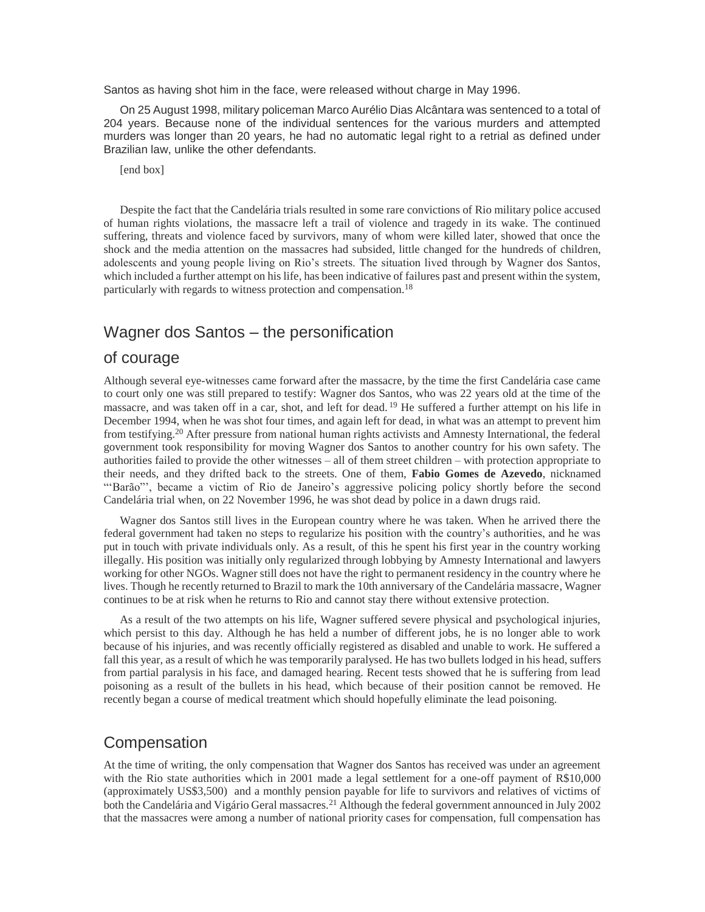Santos as having shot him in the face, were released without charge in May 1996.

On 25 August 1998, military policeman Marco Aurélio Dias Alcântara was sentenced to a total of 204 years. Because none of the individual sentences for the various murders and attempted murders was longer than 20 years, he had no automatic legal right to a retrial as defined under Brazilian law, unlike the other defendants.

[end box]

Despite the fact that the Candelária trials resulted in some rare convictions of Rio military police accused of human rights violations, the massacre left a trail of violence and tragedy in its wake. The continued suffering, threats and violence faced by survivors, many of whom were killed later, showed that once the shock and the media attention on the massacres had subsided, little changed for the hundreds of children, adolescents and young people living on Rio's streets. The situation lived through by Wagner dos Santos, which included a further attempt on his life, has been indicative of failures past and present within the system, particularly with regards to witness protection and compensation.<sup>18</sup>

### Wagner dos Santos – the personification

### of courage

Although several eye-witnesses came forward after the massacre, by the time the first Candelária case came to court only one was still prepared to testify: Wagner dos Santos, who was 22 years old at the time of the massacre, and was taken off in a car, shot, and left for dead. <sup>19</sup> He suffered a further attempt on his life in December 1994, when he was shot four times, and again left for dead, in what was an attempt to prevent him from testifying.<sup>20</sup> After pressure from national human rights activists and Amnesty International, the federal government took responsibility for moving Wagner dos Santos to another country for his own safety. The authorities failed to provide the other witnesses – all of them street children – with protection appropriate to their needs, and they drifted back to the streets. One of them, **Fabio Gomes de Azevedo**, nicknamed "'Barão"', became a victim of Rio de Janeiro's aggressive policing policy shortly before the second Candelária trial when, on 22 November 1996, he was shot dead by police in a dawn drugs raid.

Wagner dos Santos still lives in the European country where he was taken. When he arrived there the federal government had taken no steps to regularize his position with the country's authorities, and he was put in touch with private individuals only. As a result, of this he spent his first year in the country working illegally. His position was initially only regularized through lobbying by Amnesty International and lawyers working for other NGOs. Wagner still does not have the right to permanent residency in the country where he lives. Though he recently returned to Brazil to mark the 10th anniversary of the Candelária massacre, Wagner continues to be at risk when he returns to Rio and cannot stay there without extensive protection.

As a result of the two attempts on his life, Wagner suffered severe physical and psychological injuries, which persist to this day. Although he has held a number of different jobs, he is no longer able to work because of his injuries, and was recently officially registered as disabled and unable to work. He suffered a fall this year, as a result of which he was temporarily paralysed. He has two bullets lodged in his head, suffers from partial paralysis in his face, and damaged hearing. Recent tests showed that he is suffering from lead poisoning as a result of the bullets in his head, which because of their position cannot be removed. He recently began a course of medical treatment which should hopefully eliminate the lead poisoning.

# Compensation

At the time of writing, the only compensation that Wagner dos Santos has received was under an agreement with the Rio state authorities which in 2001 made a legal settlement for a one-off payment of R\$10,000 (approximately US\$3,500) and a monthly pension payable for life to survivors and relatives of victims of both the Candelária and Vigário Geral massacres.<sup>21</sup> Although the federal government announced in July 2002 that the massacres were among a number of national priority cases for compensation, full compensation has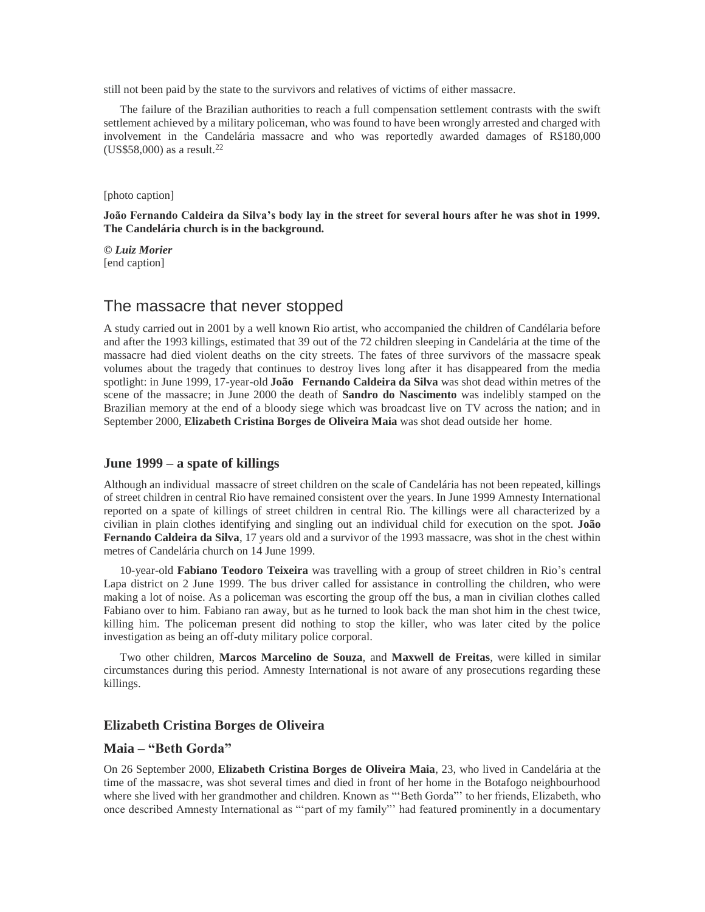still not been paid by the state to the survivors and relatives of victims of either massacre.

The failure of the Brazilian authorities to reach a full compensation settlement contrasts with the swift settlement achieved by a military policeman, who was found to have been wrongly arrested and charged with involvement in the Candelária massacre and who was reportedly awarded damages of R\$180,000  $(US$58,000)$  as a result.<sup>22</sup>

[photo caption]

**João Fernando Caldeira da Silva's body lay in the street for several hours after he was shot in 1999. The Candelária church is in the background.** 

*© Luiz Morier* [end caption]

### The massacre that never stopped

A study carried out in 2001 by a well known Rio artist, who accompanied the children of Candélaria before and after the 1993 killings, estimated that 39 out of the 72 children sleeping in Candelária at the time of the massacre had died violent deaths on the city streets. The fates of three survivors of the massacre speak volumes about the tragedy that continues to destroy lives long after it has disappeared from the media spotlight: in June 1999, 17-year-old **João Fernando Caldeira da Silva** was shot dead within metres of the scene of the massacre; in June 2000 the death of **Sandro do Nascimento** was indelibly stamped on the Brazilian memory at the end of a bloody siege which was broadcast live on TV across the nation; and in September 2000, **Elizabeth Cristina Borges de Oliveira Maia** was shot dead outside her home.

#### **June 1999 – a spate of killings**

Although an individual massacre of street children on the scale of Candelária has not been repeated, killings of street children in central Rio have remained consistent over the years. In June 1999 Amnesty International reported on a spate of killings of street children in central Rio. The killings were all characterized by a civilian in plain clothes identifying and singling out an individual child for execution on the spot. **João Fernando Caldeira da Silva**, 17 years old and a survivor of the 1993 massacre, was shot in the chest within metres of Candelária church on 14 June 1999.

10-year-old **Fabiano Teodoro Teixeira** was travelling with a group of street children in Rio's central Lapa district on 2 June 1999. The bus driver called for assistance in controlling the children, who were making a lot of noise. As a policeman was escorting the group off the bus, a man in civilian clothes called Fabiano over to him. Fabiano ran away, but as he turned to look back the man shot him in the chest twice, killing him. The policeman present did nothing to stop the killer, who was later cited by the police investigation as being an off-duty military police corporal.

Two other children, **Marcos Marcelino de Souza**, and **Maxwell de Freitas**, were killed in similar circumstances during this period. Amnesty International is not aware of any prosecutions regarding these killings.

#### **Elizabeth Cristina Borges de Oliveira**

#### **Maia – "Beth Gorda"**

On 26 September 2000, **Elizabeth Cristina Borges de Oliveira Maia**, 23, who lived in Candelária at the time of the massacre, was shot several times and died in front of her home in the Botafogo neighbourhood where she lived with her grandmother and children. Known as "'Beth Gorda"' to her friends, Elizabeth, who once described Amnesty International as "'part of my family"' had featured prominently in a documentary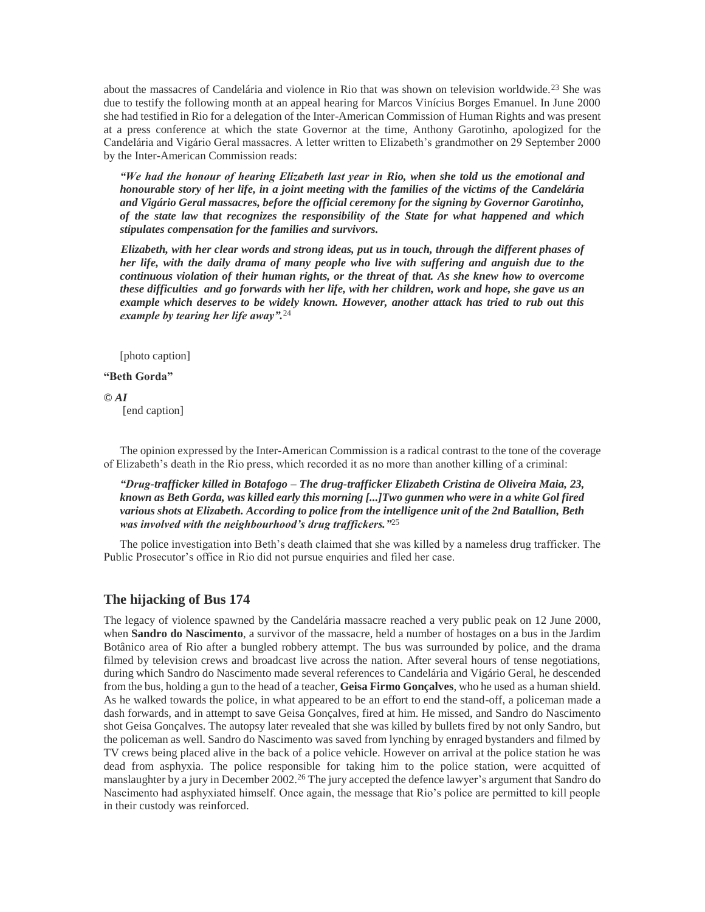about the massacres of Candelária and violence in Rio that was shown on television worldwide.<sup>23</sup> She was due to testify the following month at an appeal hearing for Marcos Vinícius Borges Emanuel. In June 2000 she had testified in Rio for a delegation of the Inter-American Commission of Human Rights and was present at a press conference at which the state Governor at the time, Anthony Garotinho, apologized for the Candelária and Vigário Geral massacres. A letter written to Elizabeth's grandmother on 29 September 2000 by the Inter-American Commission reads:

*"We had the honour of hearing Elizabeth last year in Rio, when she told us the emotional and honourable story of her life, in a joint meeting with the families of the victims of the Candelária and Vigário Geral massacres, before the official ceremony for the signing by Governor Garotinho, of the state law that recognizes the responsibility of the State for what happened and which stipulates compensation for the families and survivors.*

*Elizabeth, with her clear words and strong ideas, put us in touch, through the different phases of her life, with the daily drama of many people who live with suffering and anguish due to the continuous violation of their human rights, or the threat of that. As she knew how to overcome these difficulties and go forwards with her life, with her children, work and hope, she gave us an example which deserves to be widely known. However, another attack has tried to rub out this example by tearing her life away".*<sup>24</sup>

[photo caption]

#### **"Beth Gorda"**

#### *© AI*

[end caption]

The opinion expressed by the Inter-American Commission is a radical contrast to the tone of the coverage of Elizabeth's death in the Rio press, which recorded it as no more than another killing of a criminal:

*"Drug-trafficker killed in Botafogo – The drug-trafficker Elizabeth Cristina de Oliveira Maia, 23, known as Beth Gorda, was killed early this morning [...]Two gunmen who were in a white Gol fired various shots at Elizabeth. According to police from the intelligence unit of the 2nd Batallion, Beth was involved with the neighbourhood's drug traffickers."*<sup>25</sup>

The police investigation into Beth's death claimed that she was killed by a nameless drug trafficker. The Public Prosecutor's office in Rio did not pursue enquiries and filed her case.

#### **The hijacking of Bus 174**

The legacy of violence spawned by the Candelária massacre reached a very public peak on 12 June 2000, when **Sandro do Nascimento**, a survivor of the massacre, held a number of hostages on a bus in the Jardim Botânico area of Rio after a bungled robbery attempt. The bus was surrounded by police, and the drama filmed by television crews and broadcast live across the nation. After several hours of tense negotiations, during which Sandro do Nascimento made several references to Candelária and Vigário Geral, he descended from the bus, holding a gun to the head of a teacher, **Geisa Firmo Gonçalves**, who he used as a human shield. As he walked towards the police, in what appeared to be an effort to end the stand-off, a policeman made a dash forwards, and in attempt to save Geisa Gonçalves, fired at him. He missed, and Sandro do Nascimento shot Geisa Gonçalves. The autopsy later revealed that she was killed by bullets fired by not only Sandro, but the policeman as well. Sandro do Nascimento was saved from lynching by enraged bystanders and filmed by TV crews being placed alive in the back of a police vehicle. However on arrival at the police station he was dead from asphyxia. The police responsible for taking him to the police station, were acquitted of manslaughter by a jury in December 2002.<sup>26</sup> The jury accepted the defence lawyer's argument that Sandro do Nascimento had asphyxiated himself. Once again, the message that Rio's police are permitted to kill people in their custody was reinforced.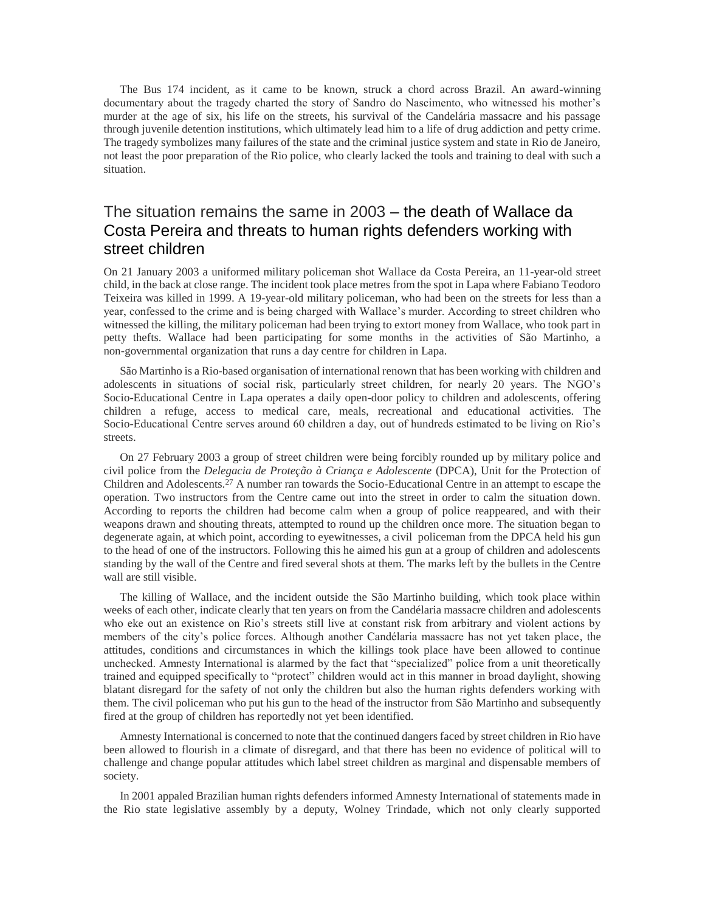The Bus 174 incident, as it came to be known, struck a chord across Brazil. An award-winning documentary about the tragedy charted the story of Sandro do Nascimento, who witnessed his mother's murder at the age of six, his life on the streets, his survival of the Candelária massacre and his passage through juvenile detention institutions, which ultimately lead him to a life of drug addiction and petty crime. The tragedy symbolizes many failures of the state and the criminal justice system and state in Rio de Janeiro, not least the poor preparation of the Rio police, who clearly lacked the tools and training to deal with such a situation.

# The situation remains the same in 2003 – the death of Wallace da Costa Pereira and threats to human rights defenders working with street children

On 21 January 2003 a uniformed military policeman shot Wallace da Costa Pereira, an 11-year-old street child, in the back at close range. The incident took place metres from the spot in Lapa where Fabiano Teodoro Teixeira was killed in 1999. A 19-year-old military policeman, who had been on the streets for less than a year, confessed to the crime and is being charged with Wallace's murder. According to street children who witnessed the killing, the military policeman had been trying to extort money from Wallace, who took part in petty thefts. Wallace had been participating for some months in the activities of São Martinho, a non-governmental organization that runs a day centre for children in Lapa.

São Martinho is a Rio-based organisation of international renown that has been working with children and adolescents in situations of social risk, particularly street children, for nearly 20 years. The NGO's Socio-Educational Centre in Lapa operates a daily open-door policy to children and adolescents, offering children a refuge, access to medical care, meals, recreational and educational activities. The Socio-Educational Centre serves around 60 children a day, out of hundreds estimated to be living on Rio's streets.

On 27 February 2003 a group of street children were being forcibly rounded up by military police and civil police from the *Delegacia de Proteção à Criança e Adolescente* (DPCA), Unit for the Protection of Children and Adolescents.<sup>27</sup> A number ran towards the Socio-Educational Centre in an attempt to escape the operation. Two instructors from the Centre came out into the street in order to calm the situation down. According to reports the children had become calm when a group of police reappeared, and with their weapons drawn and shouting threats, attempted to round up the children once more. The situation began to degenerate again, at which point, according to eyewitnesses, a civil policeman from the DPCA held his gun to the head of one of the instructors. Following this he aimed his gun at a group of children and adolescents standing by the wall of the Centre and fired several shots at them. The marks left by the bullets in the Centre wall are still visible.

The killing of Wallace, and the incident outside the São Martinho building, which took place within weeks of each other, indicate clearly that ten years on from the Candélaria massacre children and adolescents who eke out an existence on Rio's streets still live at constant risk from arbitrary and violent actions by members of the city's police forces. Although another Candélaria massacre has not yet taken place, the attitudes, conditions and circumstances in which the killings took place have been allowed to continue unchecked. Amnesty International is alarmed by the fact that "specialized" police from a unit theoretically trained and equipped specifically to "protect" children would act in this manner in broad daylight, showing blatant disregard for the safety of not only the children but also the human rights defenders working with them. The civil policeman who put his gun to the head of the instructor from São Martinho and subsequently fired at the group of children has reportedly not yet been identified.

Amnesty International is concerned to note that the continued dangers faced by street children in Rio have been allowed to flourish in a climate of disregard, and that there has been no evidence of political will to challenge and change popular attitudes which label street children as marginal and dispensable members of society.

In 2001 appaled Brazilian human rights defenders informed Amnesty International of statements made in the Rio state legislative assembly by a deputy, Wolney Trindade, which not only clearly supported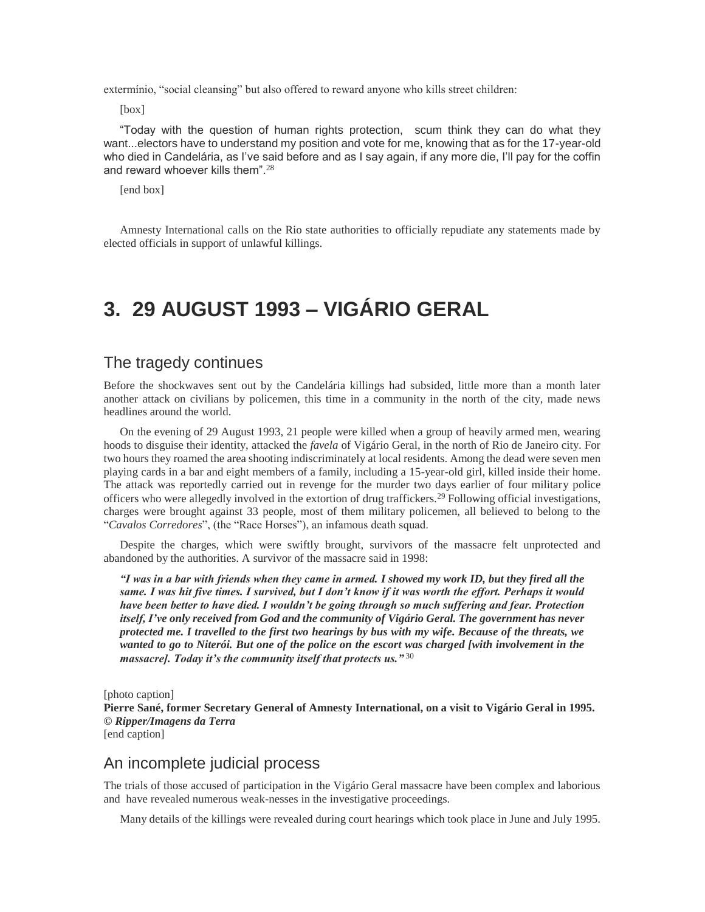extermínio, "social cleansing" but also offered to reward anyone who kills street children:

[box]

"Today with the question of human rights protection, scum think they can do what they want...electors have to understand my position and vote for me, knowing that as for the 17-year-old who died in Candelária, as I've said before and as I say again, if any more die, I'll pay for the coffin and reward whoever kills them".<sup>28</sup>

[end box]

Amnesty International calls on the Rio state authorities to officially repudiate any statements made by elected officials in support of unlawful killings.

# **3. 29 AUGUST 1993 – VIGÁRIO GERAL**

# The tragedy continues

Before the shockwaves sent out by the Candelária killings had subsided, little more than a month later another attack on civilians by policemen, this time in a community in the north of the city, made news headlines around the world.

On the evening of 29 August 1993, 21 people were killed when a group of heavily armed men, wearing hoods to disguise their identity, attacked the *favela* of Vigário Geral, in the north of Rio de Janeiro city. For two hours they roamed the area shooting indiscriminately at local residents. Among the dead were seven men playing cards in a bar and eight members of a family, including a 15-year-old girl, killed inside their home. The attack was reportedly carried out in revenge for the murder two days earlier of four military police officers who were allegedly involved in the extortion of drug traffickers.<sup>29</sup> Following official investigations, charges were brought against 33 people, most of them military policemen, all believed to belong to the "*Cavalos Corredores*", (the "Race Horses"), an infamous death squad.

Despite the charges, which were swiftly brought, survivors of the massacre felt unprotected and abandoned by the authorities. A survivor of the massacre said in 1998:

*"I was in a bar with friends when they came in armed. I showed my work ID, but they fired all the same. I was hit five times. I survived, but I don't know if it was worth the effort. Perhaps it would have been better to have died. I wouldn't be going through so much suffering and fear. Protection itself, I've only received from God and the community of Vigário Geral. The government has never protected me. I travelled to the first two hearings by bus with my wife. Because of the threats, we wanted to go to Niterói. But one of the police on the escort was charged [with involvement in the massacre]. Today it's the community itself that protects us."* <sup>30</sup>

[photo caption] **Pierre Sané, former Secretary General of Amnesty International, on a visit to Vigário Geral in 1995.**  *© Ripper/Imagens da Terra* [end caption]

# An incomplete judicial process

The trials of those accused of participation in the Vigário Geral massacre have been complex and laborious and have revealed numerous weak-nesses in the investigative proceedings.

Many details of the killings were revealed during court hearings which took place in June and July 1995.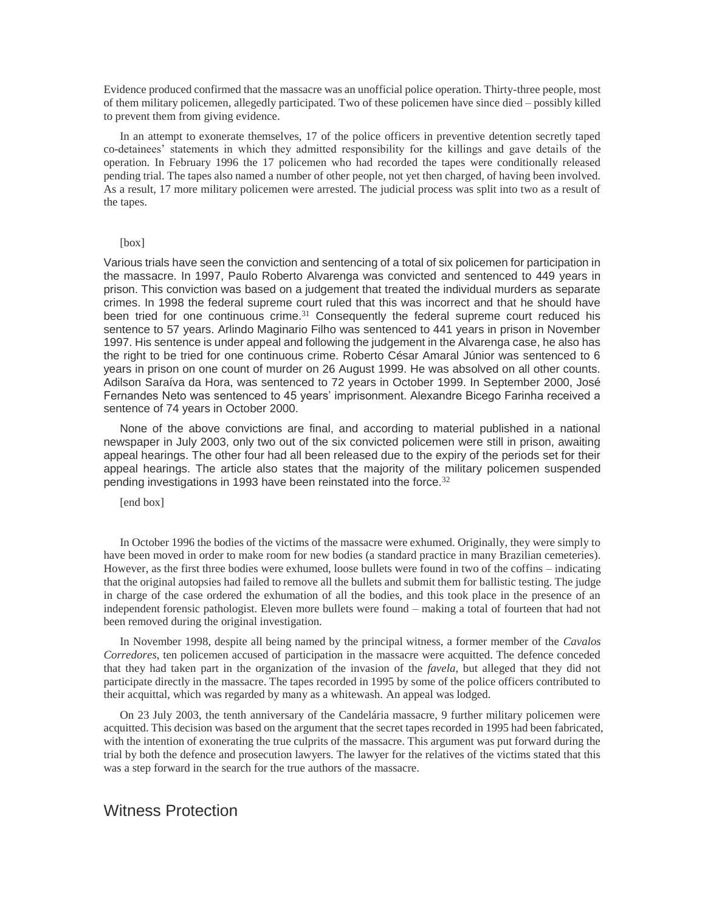Evidence produced confirmed that the massacre was an unofficial police operation. Thirty-three people, most of them military policemen, allegedly participated. Two of these policemen have since died – possibly killed to prevent them from giving evidence.

In an attempt to exonerate themselves, 17 of the police officers in preventive detention secretly taped co-detainees' statements in which they admitted responsibility for the killings and gave details of the operation. In February 1996 the 17 policemen who had recorded the tapes were conditionally released pending trial. The tapes also named a number of other people, not yet then charged, of having been involved. As a result, 17 more military policemen were arrested. The judicial process was split into two as a result of the tapes.

#### [box]

Various trials have seen the conviction and sentencing of a total of six policemen for participation in the massacre. In 1997, Paulo Roberto Alvarenga was convicted and sentenced to 449 years in prison. This conviction was based on a judgement that treated the individual murders as separate crimes. In 1998 the federal supreme court ruled that this was incorrect and that he should have been tried for one continuous crime.<sup>31</sup> Consequently the federal supreme court reduced his sentence to 57 years. Arlindo Maginario Filho was sentenced to 441 years in prison in November 1997. His sentence is under appeal and following the judgement in the Alvarenga case, he also has the right to be tried for one continuous crime. Roberto César Amaral Júnior was sentenced to 6 years in prison on one count of murder on 26 August 1999. He was absolved on all other counts. Adilson Saraíva da Hora, was sentenced to 72 years in October 1999. In September 2000, José Fernandes Neto was sentenced to 45 years' imprisonment. Alexandre Bicego Farinha received a sentence of 74 years in October 2000.

None of the above convictions are final, and according to material published in a national newspaper in July 2003, only two out of the six convicted policemen were still in prison, awaiting appeal hearings. The other four had all been released due to the expiry of the periods set for their appeal hearings. The article also states that the majority of the military policemen suspended pending investigations in 1993 have been reinstated into the force.<sup>32</sup>

[end box]

In October 1996 the bodies of the victims of the massacre were exhumed. Originally, they were simply to have been moved in order to make room for new bodies (a standard practice in many Brazilian cemeteries). However, as the first three bodies were exhumed, loose bullets were found in two of the coffins – indicating that the original autopsies had failed to remove all the bullets and submit them for ballistic testing. The judge in charge of the case ordered the exhumation of all the bodies, and this took place in the presence of an independent forensic pathologist. Eleven more bullets were found – making a total of fourteen that had not been removed during the original investigation.

In November 1998, despite all being named by the principal witness, a former member of the *Cavalos Corredores*, ten policemen accused of participation in the massacre were acquitted. The defence conceded that they had taken part in the organization of the invasion of the *favela*, but alleged that they did not participate directly in the massacre. The tapes recorded in 1995 by some of the police officers contributed to their acquittal, which was regarded by many as a whitewash. An appeal was lodged.

On 23 July 2003, the tenth anniversary of the Candelária massacre, 9 further military policemen were acquitted. This decision was based on the argument that the secret tapes recorded in 1995 had been fabricated, with the intention of exonerating the true culprits of the massacre. This argument was put forward during the trial by both the defence and prosecution lawyers. The lawyer for the relatives of the victims stated that this was a step forward in the search for the true authors of the massacre.

### Witness Protection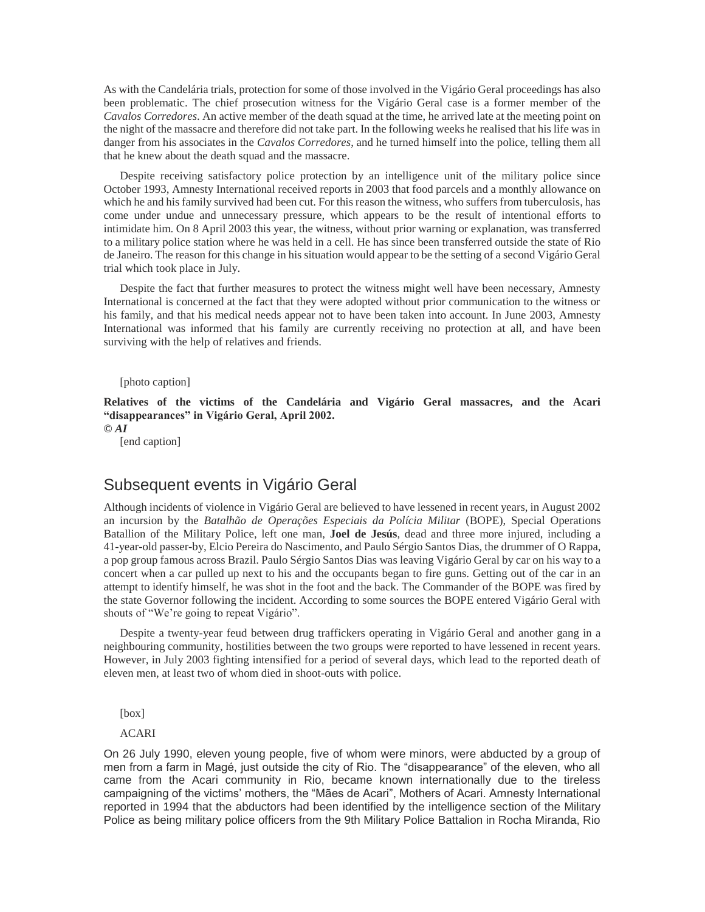As with the Candelária trials, protection for some of those involved in the Vigário Geral proceedings has also been problematic. The chief prosecution witness for the Vigário Geral case is a former member of the *Cavalos Corredores*. An active member of the death squad at the time, he arrived late at the meeting point on the night of the massacre and therefore did not take part. In the following weeks he realised that his life was in danger from his associates in the *Cavalos Corredores*, and he turned himself into the police, telling them all that he knew about the death squad and the massacre.

Despite receiving satisfactory police protection by an intelligence unit of the military police since October 1993, Amnesty International received reports in 2003 that food parcels and a monthly allowance on which he and his family survived had been cut. For this reason the witness, who suffers from tuberculosis, has come under undue and unnecessary pressure, which appears to be the result of intentional efforts to intimidate him. On 8 April 2003 this year, the witness, without prior warning or explanation, was transferred to a military police station where he was held in a cell. He has since been transferred outside the state of Rio de Janeiro. The reason for this change in his situation would appear to be the setting of a second Vigário Geral trial which took place in July.

Despite the fact that further measures to protect the witness might well have been necessary, Amnesty International is concerned at the fact that they were adopted without prior communication to the witness or his family, and that his medical needs appear not to have been taken into account. In June 2003, Amnesty International was informed that his family are currently receiving no protection at all, and have been surviving with the help of relatives and friends.

[photo caption]

**Relatives of the victims of the Candelária and Vigário Geral massacres, and the Acari "disappearances" in Vigário Geral, April 2002.** 

*© AI*

[end caption]

## Subsequent events in Vigário Geral

Although incidents of violence in Vigário Geral are believed to have lessened in recent years, in August 2002 an incursion by the *Batalhão de Operações Especiais da Polícia Militar* (BOPE), Special Operations Batallion of the Military Police, left one man, **Joel de Jesús**, dead and three more injured, including a 41-year-old passer-by, Elcio Pereira do Nascimento, and Paulo Sérgio Santos Dias, the drummer of O Rappa, a pop group famous across Brazil. Paulo Sérgio Santos Dias was leaving Vigário Geral by car on his way to a concert when a car pulled up next to his and the occupants began to fire guns. Getting out of the car in an attempt to identify himself, he was shot in the foot and the back. The Commander of the BOPE was fired by the state Governor following the incident. According to some sources the BOPE entered Vigário Geral with shouts of "We're going to repeat Vigário".

Despite a twenty-year feud between drug traffickers operating in Vigário Geral and another gang in a neighbouring community, hostilities between the two groups were reported to have lessened in recent years. However, in July 2003 fighting intensified for a period of several days, which lead to the reported death of eleven men, at least two of whom died in shoot-outs with police.

[box]

#### ACARI

On 26 July 1990, eleven young people, five of whom were minors, were abducted by a group of men from a farm in Magé, just outside the city of Rio. The "disappearance" of the eleven, who all came from the Acari community in Rio, became known internationally due to the tireless campaigning of the victims' mothers, the "Mães de Acari", Mothers of Acari. Amnesty International reported in 1994 that the abductors had been identified by the intelligence section of the Military Police as being military police officers from the 9th Military Police Battalion in Rocha Miranda, Rio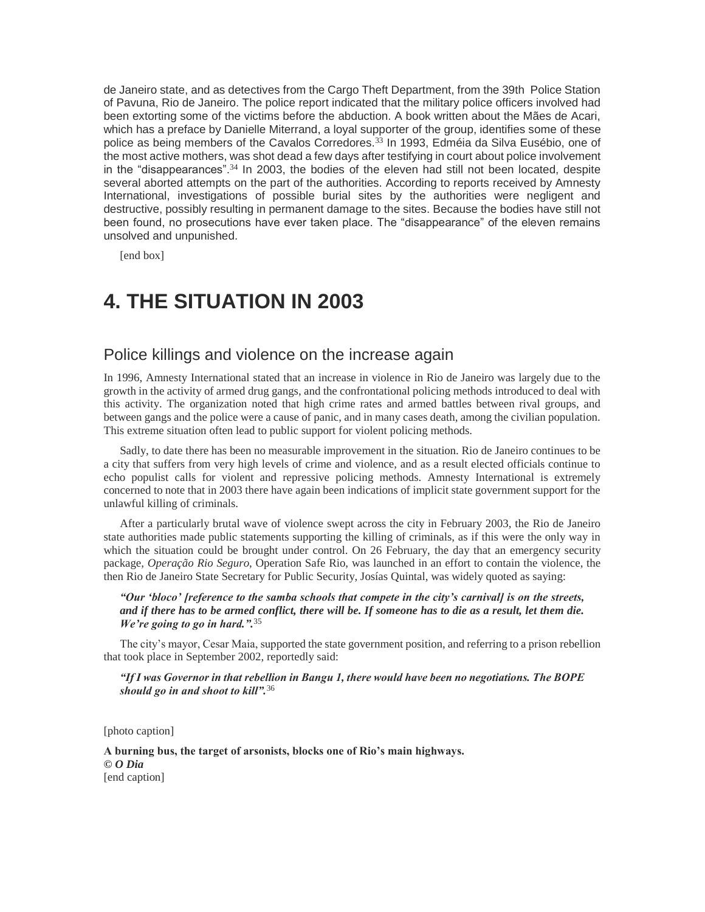de Janeiro state, and as detectives from the Cargo Theft Department, from the 39th Police Station of Pavuna, Rio de Janeiro. The police report indicated that the military police officers involved had been extorting some of the victims before the abduction. A book written about the Mães de Acari, which has a preface by Danielle Miterrand, a loyal supporter of the group, identifies some of these police as being members of the Cavalos Corredores.<sup>33</sup> In 1993, Edméia da Silva Eusébio, one of the most active mothers, was shot dead a few days after testifying in court about police involvement in the "disappearances".<sup>34</sup> In 2003, the bodies of the eleven had still not been located, despite several aborted attempts on the part of the authorities. According to reports received by Amnesty International, investigations of possible burial sites by the authorities were negligent and destructive, possibly resulting in permanent damage to the sites. Because the bodies have still not been found, no prosecutions have ever taken place. The "disappearance" of the eleven remains unsolved and unpunished.

[end box]

# **4. THE SITUATION IN 2003**

# Police killings and violence on the increase again

In 1996, Amnesty International stated that an increase in violence in Rio de Janeiro was largely due to the growth in the activity of armed drug gangs, and the confrontational policing methods introduced to deal with this activity. The organization noted that high crime rates and armed battles between rival groups, and between gangs and the police were a cause of panic, and in many cases death, among the civilian population. This extreme situation often lead to public support for violent policing methods.

Sadly, to date there has been no measurable improvement in the situation. Rio de Janeiro continues to be a city that suffers from very high levels of crime and violence, and as a result elected officials continue to echo populist calls for violent and repressive policing methods. Amnesty International is extremely concerned to note that in 2003 there have again been indications of implicit state government support for the unlawful killing of criminals.

After a particularly brutal wave of violence swept across the city in February 2003, the Rio de Janeiro state authorities made public statements supporting the killing of criminals, as if this were the only way in which the situation could be brought under control. On 26 February, the day that an emergency security package, *Operação Rio Seguro*, Operation Safe Rio, was launched in an effort to contain the violence, the then Rio de Janeiro State Secretary for Public Security, Josías Quintal, was widely quoted as saying:

#### *"Our 'bloco' [reference to the samba schools that compete in the city's carnival] is on the streets, and if there has to be armed conflict, there will be. If someone has to die as a result, let them die. We're going to go in hard.".*<sup>35</sup>

The city's mayor, Cesar Maia, supported the state government position, and referring to a prison rebellion that took place in September 2002, reportedly said:

*"If I was Governor in that rebellion in Bangu 1, there would have been no negotiations. The BOPE should go in and shoot to kill".*<sup>36</sup>

[photo caption]

**A burning bus, the target of arsonists, blocks one of Rio's main highways.** *© O Dia* [end caption]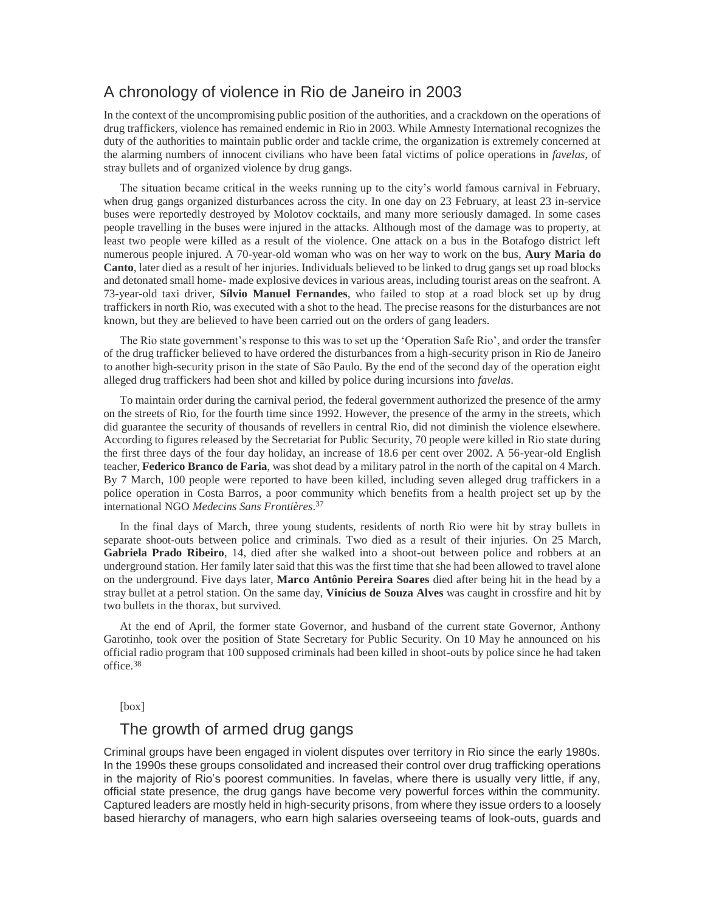# A chronology of violence in Rio de Janeiro in 2003

In the context of the uncompromising public position of the authorities, and a crackdown on the operations of drug traffickers, violence has remained endemic in Rio in 2003. While Amnesty International recognizes the duty of the authorities to maintain public order and tackle crime, the organization is extremely concerned at the alarming numbers of innocent civilians who have been fatal victims of police operations in *favelas*, of stray bullets and of organized violence by drug gangs.

The situation became critical in the weeks running up to the city's world famous carnival in February, when drug gangs organized disturbances across the city. In one day on 23 February, at least 23 in-service buses were reportedly destroyed by Molotov cocktails, and many more seriously damaged. In some cases people travelling in the buses were injured in the attacks. Although most of the damage was to property, at least two people were killed as a result of the violence. One attack on a bus in the Botafogo district left numerous people injured. A 70-year-old woman who was on her way to work on the bus, **Aury Maria do Canto**, later died as a result of her injuries. Individuals believed to be linked to drug gangs set up road blocks and detonated small home- made explosive devices in various areas, including tourist areas on the seafront. A 73-year-old taxi driver, **Sílvio Manuel Fernandes**, who failed to stop at a road block set up by drug traffickers in north Rio, was executed with a shot to the head. The precise reasons for the disturbances are not known, but they are believed to have been carried out on the orders of gang leaders.

The Rio state government's response to this was to set up the 'Operation Safe Rio', and order the transfer of the drug trafficker believed to have ordered the disturbances from a high-security prison in Rio de Janeiro to another high-security prison in the state of São Paulo. By the end of the second day of the operation eight alleged drug traffickers had been shot and killed by police during incursions into *favelas*.

To maintain order during the carnival period, the federal government authorized the presence of the army on the streets of Rio, for the fourth time since 1992. However, the presence of the army in the streets, which did guarantee the security of thousands of revellers in central Rio, did not diminish the violence elsewhere. According to figures released by the Secretariat for Public Security, 70 people were killed in Rio state during the first three days of the four day holiday, an increase of 18.6 per cent over 2002. A 56-year-old English teacher, **Federico Branco de Faria**, was shot dead by a military patrol in the north of the capital on 4 March. By 7 March, 100 people were reported to have been killed, including seven alleged drug traffickers in a police operation in Costa Barros, a poor community which benefits from a health project set up by the international NGO *Medecins Sans Frontières*. 37

In the final days of March, three young students, residents of north Rio were hit by stray bullets in separate shoot-outs between police and criminals. Two died as a result of their injuries. On 25 March, **Gabriela Prado Ribeiro**, 14, died after she walked into a shoot-out between police and robbers at an underground station. Her family later said that this was the first time that she had been allowed to travel alone on the underground. Five days later, **Marco Antônio Pereira Soares** died after being hit in the head by a stray bullet at a petrol station. On the same day, **Vinícius de Souza Alves** was caught in crossfire and hit by two bullets in the thorax, but survived.

At the end of April, the former state Governor, and husband of the current state Governor, Anthony Garotinho, took over the position of State Secretary for Public Security. On 10 May he announced on his official radio program that 100 supposed criminals had been killed in shoot-outs by police since he had taken office.<sup>38</sup>

#### [box]

## The growth of armed drug gangs

Criminal groups have been engaged in violent disputes over territory in Rio since the early 1980s. In the 1990s these groups consolidated and increased their control over drug trafficking operations in the majority of Rio's poorest communities. In favelas, where there is usually very little, if any, official state presence, the drug gangs have become very powerful forces within the community. Captured leaders are mostly held in high-security prisons, from where they issue orders to a loosely based hierarchy of managers, who earn high salaries overseeing teams of look-outs, guards and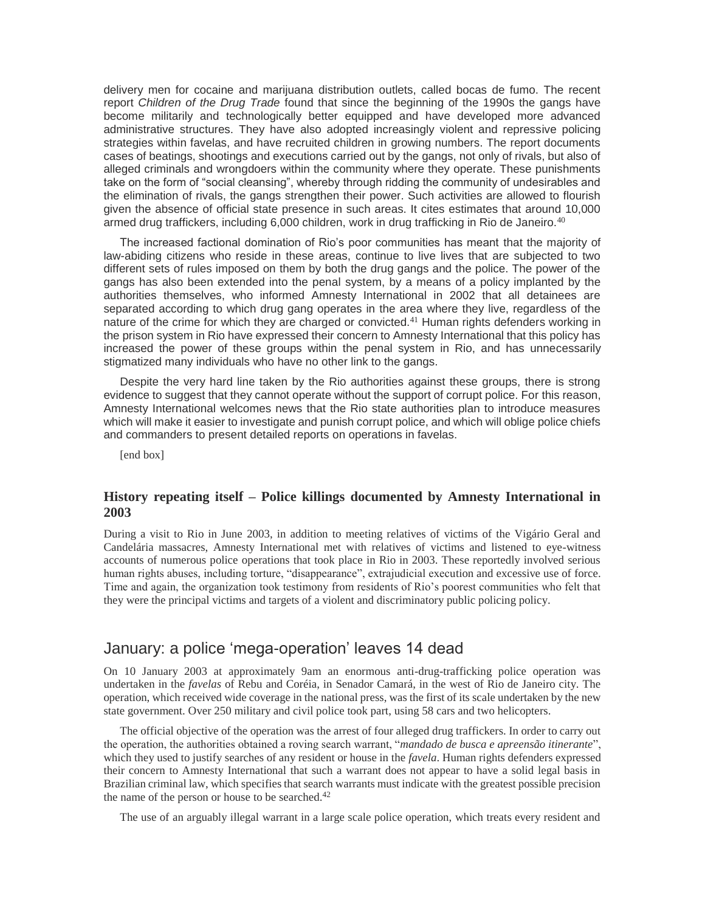delivery men for cocaine and marijuana distribution outlets, called bocas de fumo. The recent report *Children of the Drug Trade* found that since the beginning of the 1990s the gangs have become militarily and technologically better equipped and have developed more advanced administrative structures. They have also adopted increasingly violent and repressive policing strategies within favelas, and have recruited children in growing numbers. The report documents cases of beatings, shootings and executions carried out by the gangs, not only of rivals, but also of alleged criminals and wrongdoers within the community where they operate. These punishments take on the form of "social cleansing", whereby through ridding the community of undesirables and the elimination of rivals, the gangs strengthen their power. Such activities are allowed to flourish given the absence of official state presence in such areas. It cites estimates that around 10,000 armed drug traffickers, including 6,000 children, work in drug trafficking in Rio de Janeiro.<sup>40</sup>

The increased factional domination of Rio's poor communities has meant that the majority of law-abiding citizens who reside in these areas, continue to live lives that are subjected to two different sets of rules imposed on them by both the drug gangs and the police. The power of the gangs has also been extended into the penal system, by a means of a policy implanted by the authorities themselves, who informed Amnesty International in 2002 that all detainees are separated according to which drug gang operates in the area where they live, regardless of the nature of the crime for which they are charged or convicted.<sup>41</sup> Human rights defenders working in the prison system in Rio have expressed their concern to Amnesty International that this policy has increased the power of these groups within the penal system in Rio, and has unnecessarily stigmatized many individuals who have no other link to the gangs.

Despite the very hard line taken by the Rio authorities against these groups, there is strong evidence to suggest that they cannot operate without the support of corrupt police. For this reason, Amnesty International welcomes news that the Rio state authorities plan to introduce measures which will make it easier to investigate and punish corrupt police, and which will oblige police chiefs and commanders to present detailed reports on operations in favelas.

[end box]

#### **History repeating itself – Police killings documented by Amnesty International in 2003**

During a visit to Rio in June 2003, in addition to meeting relatives of victims of the Vigário Geral and Candelária massacres, Amnesty International met with relatives of victims and listened to eye-witness accounts of numerous police operations that took place in Rio in 2003. These reportedly involved serious human rights abuses, including torture, "disappearance", extrajudicial execution and excessive use of force. Time and again, the organization took testimony from residents of Rio's poorest communities who felt that they were the principal victims and targets of a violent and discriminatory public policing policy.

# January: a police 'mega-operation' leaves 14 dead

On 10 January 2003 at approximately 9am an enormous anti-drug-trafficking police operation was undertaken in the *favelas* of Rebu and Coréia, in Senador Camará, in the west of Rio de Janeiro city. The operation, which received wide coverage in the national press, was the first of its scale undertaken by the new state government. Over 250 military and civil police took part, using 58 cars and two helicopters.

The official objective of the operation was the arrest of four alleged drug traffickers. In order to carry out the operation, the authorities obtained a roving search warrant, "*mandado de busca e apreensão itinerante*", which they used to justify searches of any resident or house in the *favela*. Human rights defenders expressed their concern to Amnesty International that such a warrant does not appear to have a solid legal basis in Brazilian criminal law, which specifies that search warrants must indicate with the greatest possible precision the name of the person or house to be searched.<sup>42</sup>

The use of an arguably illegal warrant in a large scale police operation, which treats every resident and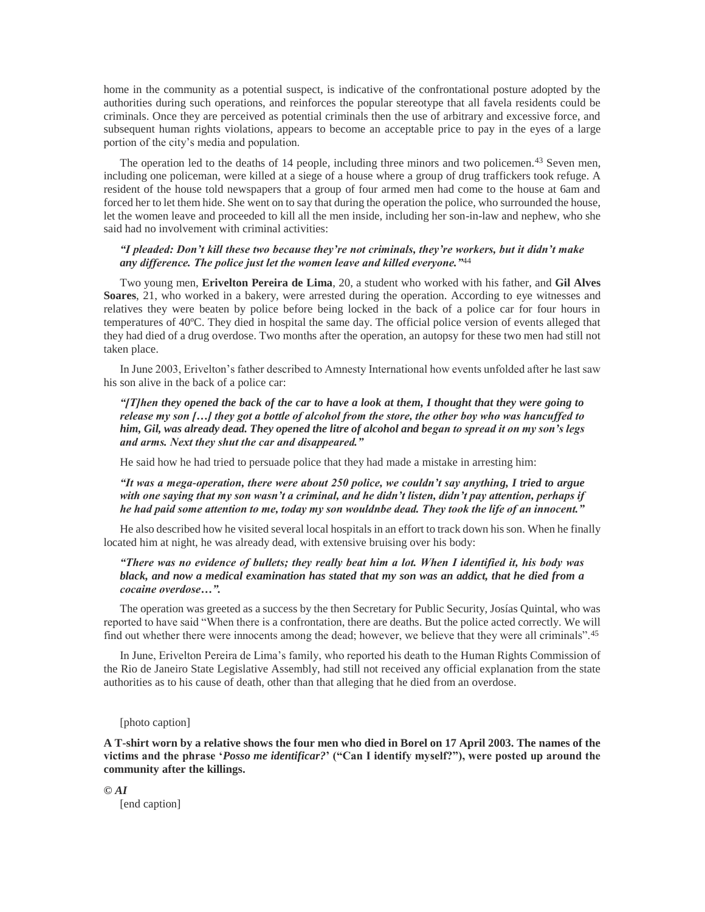home in the community as a potential suspect, is indicative of the confrontational posture adopted by the authorities during such operations, and reinforces the popular stereotype that all favela residents could be criminals. Once they are perceived as potential criminals then the use of arbitrary and excessive force, and subsequent human rights violations, appears to become an acceptable price to pay in the eyes of a large portion of the city's media and population.

The operation led to the deaths of 14 people, including three minors and two policemen.<sup>43</sup> Seven men, including one policeman, were killed at a siege of a house where a group of drug traffickers took refuge. A resident of the house told newspapers that a group of four armed men had come to the house at 6am and forced her to let them hide. She went on to say that during the operation the police, who surrounded the house, let the women leave and proceeded to kill all the men inside, including her son-in-law and nephew, who she said had no involvement with criminal activities:

#### *"I pleaded: Don't kill these two because they're not criminals, they're workers, but it didn't make any difference. The police just let the women leave and killed everyone."*<sup>44</sup>

Two young men, **Erivelton Pereira de Lima**, 20, a student who worked with his father, and **Gil Alves Soares**, 21, who worked in a bakery, were arrested during the operation. According to eye witnesses and relatives they were beaten by police before being locked in the back of a police car for four hours in temperatures of 40ºC. They died in hospital the same day. The official police version of events alleged that they had died of a drug overdose. Two months after the operation, an autopsy for these two men had still not taken place.

In June 2003, Erivelton's father described to Amnesty International how events unfolded after he last saw his son alive in the back of a police car:

*"[T]hen they opened the back of the car to have a look at them, I thought that they were going to release my son […] they got a bottle of alcohol from the store, the other boy who was hancuffed to him, Gil, was already dead. They opened the litre of alcohol and began to spread it on my son's legs and arms. Next they shut the car and disappeared."* 

He said how he had tried to persuade police that they had made a mistake in arresting him:

*"It was a mega-operation, there were about 250 police, we couldn't say anything, I tried to argue with one saying that my son wasn't a criminal, and he didn't listen, didn't pay attention, perhaps if he had paid some attention to me, today my son wouldnbe dead. They took the life of an innocent."* 

He also described how he visited several local hospitals in an effort to track down his son. When he finally located him at night, he was already dead, with extensive bruising over his body:

#### *"There was no evidence of bullets; they really beat him a lot. When I identified it, his body was black, and now a medical examination has stated that my son was an addict, that he died from a cocaine overdose…".*

The operation was greeted as a success by the then Secretary for Public Security, Josías Quintal, who was reported to have said "When there is a confrontation, there are deaths. But the police acted correctly. We will find out whether there were innocents among the dead; however, we believe that they were all criminals".<sup>45</sup>

In June, Erivelton Pereira de Lima's family, who reported his death to the Human Rights Commission of the Rio de Janeiro State Legislative Assembly, had still not received any official explanation from the state authorities as to his cause of death, other than that alleging that he died from an overdose.

#### [photo caption]

**A T-shirt worn by a relative shows the four men who died in Borel on 17 April 2003. The names of the victims and the phrase '***Posso me identificar?***' ("Can I identify myself?"), were posted up around the community after the killings.** 

*© AI* [end caption]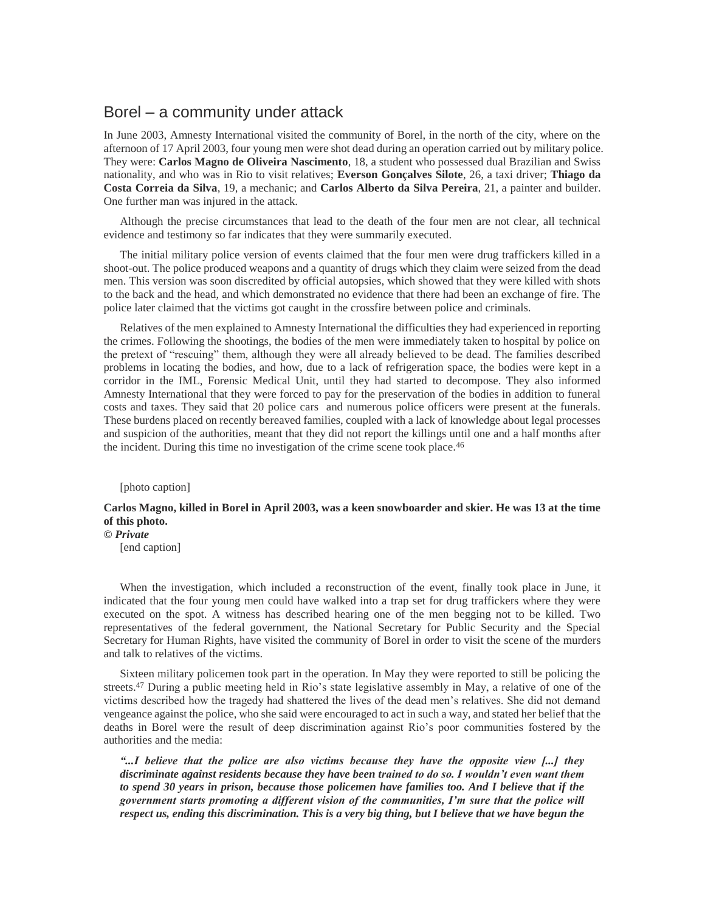### Borel – a community under attack

In June 2003, Amnesty International visited the community of Borel, in the north of the city, where on the afternoon of 17 April 2003, four young men were shot dead during an operation carried out by military police. They were: **Carlos Magno de Oliveira Nascimento**, 18, a student who possessed dual Brazilian and Swiss nationality, and who was in Rio to visit relatives; **Everson Gonçalves Silote**, 26, a taxi driver; **Thiago da Costa Correia da Silva**, 19, a mechanic; and **Carlos Alberto da Silva Pereira**, 21, a painter and builder. One further man was injured in the attack.

Although the precise circumstances that lead to the death of the four men are not clear, all technical evidence and testimony so far indicates that they were summarily executed.

The initial military police version of events claimed that the four men were drug traffickers killed in a shoot-out. The police produced weapons and a quantity of drugs which they claim were seized from the dead men. This version was soon discredited by official autopsies, which showed that they were killed with shots to the back and the head, and which demonstrated no evidence that there had been an exchange of fire. The police later claimed that the victims got caught in the crossfire between police and criminals.

Relatives of the men explained to Amnesty International the difficulties they had experienced in reporting the crimes. Following the shootings, the bodies of the men were immediately taken to hospital by police on the pretext of "rescuing" them, although they were all already believed to be dead. The families described problems in locating the bodies, and how, due to a lack of refrigeration space, the bodies were kept in a corridor in the IML, Forensic Medical Unit, until they had started to decompose. They also informed Amnesty International that they were forced to pay for the preservation of the bodies in addition to funeral costs and taxes. They said that 20 police cars and numerous police officers were present at the funerals. These burdens placed on recently bereaved families, coupled with a lack of knowledge about legal processes and suspicion of the authorities, meant that they did not report the killings until one and a half months after the incident. During this time no investigation of the crime scene took place.<sup>46</sup>

[photo caption]

#### **Carlos Magno, killed in Borel in April 2003, was a keen snowboarder and skier. He was 13 at the time of this photo.**

*© Private*

[end caption]

When the investigation, which included a reconstruction of the event, finally took place in June, it indicated that the four young men could have walked into a trap set for drug traffickers where they were executed on the spot. A witness has described hearing one of the men begging not to be killed. Two representatives of the federal government, the National Secretary for Public Security and the Special Secretary for Human Rights, have visited the community of Borel in order to visit the scene of the murders and talk to relatives of the victims.

Sixteen military policemen took part in the operation. In May they were reported to still be policing the streets.<sup>47</sup> During a public meeting held in Rio's state legislative assembly in May, a relative of one of the victims described how the tragedy had shattered the lives of the dead men's relatives. She did not demand vengeance against the police, who she said were encouraged to act in such a way, and stated her belief that the deaths in Borel were the result of deep discrimination against Rio's poor communities fostered by the authorities and the media:

*"...I believe that the police are also victims because they have the opposite view [...] they discriminate against residents because they have been trained to do so. I wouldn't even want them to spend 30 years in prison, because those policemen have families too. And I believe that if the government starts promoting a different vision of the communities, I'm sure that the police will respect us, ending this discrimination. This is a very big thing, but I believe that we have begun the*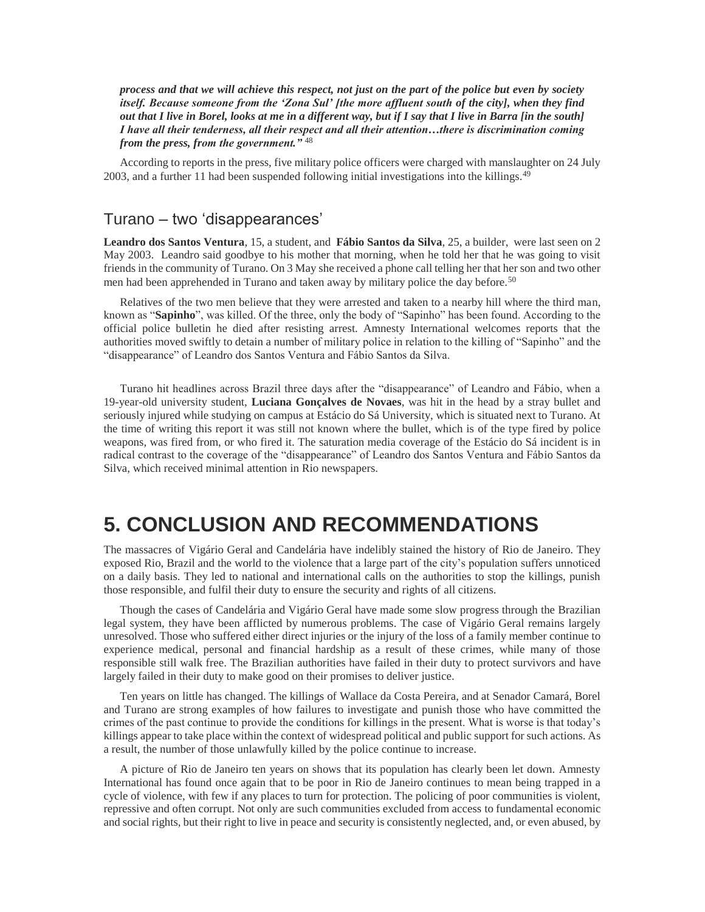*process and that we will achieve this respect, not just on the part of the police but even by society itself. Because someone from the 'Zona Sul' [the more affluent south of the city], when they find out that I live in Borel, looks at me in a different way, but if I say that I live in Barra [in the south] I have all their tenderness, all their respect and all their attention…there is discrimination coming from the press, from the government."* <sup>48</sup>

According to reports in the press, five military police officers were charged with manslaughter on 24 July 2003, and a further 11 had been suspended following initial investigations into the killings.<sup>49</sup>

## Turano – two 'disappearances'

**Leandro dos Santos Ventura**, 15, a student, and **Fábio Santos da Silva**, 25, a builder, were last seen on 2 May 2003. Leandro said goodbye to his mother that morning, when he told her that he was going to visit friends in the community of Turano. On 3 May she received a phone call telling her that her son and two other men had been apprehended in Turano and taken away by military police the day before.<sup>50</sup>

Relatives of the two men believe that they were arrested and taken to a nearby hill where the third man, known as "**Sapinho**", was killed. Of the three, only the body of "Sapinho" has been found. According to the official police bulletin he died after resisting arrest. Amnesty International welcomes reports that the authorities moved swiftly to detain a number of military police in relation to the killing of "Sapinho" and the "disappearance" of Leandro dos Santos Ventura and Fábio Santos da Silva.

Turano hit headlines across Brazil three days after the "disappearance" of Leandro and Fábio, when a 19-year-old university student, **Luciana Gonçalves de Novaes**, was hit in the head by a stray bullet and seriously injured while studying on campus at Estácio do Sá University, which is situated next to Turano. At the time of writing this report it was still not known where the bullet, which is of the type fired by police weapons, was fired from, or who fired it. The saturation media coverage of the Estácio do Sá incident is in radical contrast to the coverage of the "disappearance" of Leandro dos Santos Ventura and Fábio Santos da Silva, which received minimal attention in Rio newspapers.

# **5. CONCLUSION AND RECOMMENDATIONS**

The massacres of Vigário Geral and Candelária have indelibly stained the history of Rio de Janeiro. They exposed Rio, Brazil and the world to the violence that a large part of the city's population suffers unnoticed on a daily basis. They led to national and international calls on the authorities to stop the killings, punish those responsible, and fulfil their duty to ensure the security and rights of all citizens.

Though the cases of Candelária and Vigário Geral have made some slow progress through the Brazilian legal system, they have been afflicted by numerous problems. The case of Vigário Geral remains largely unresolved. Those who suffered either direct injuries or the injury of the loss of a family member continue to experience medical, personal and financial hardship as a result of these crimes, while many of those responsible still walk free. The Brazilian authorities have failed in their duty to protect survivors and have largely failed in their duty to make good on their promises to deliver justice.

Ten years on little has changed. The killings of Wallace da Costa Pereira, and at Senador Camará, Borel and Turano are strong examples of how failures to investigate and punish those who have committed the crimes of the past continue to provide the conditions for killings in the present. What is worse is that today's killings appear to take place within the context of widespread political and public support for such actions. As a result, the number of those unlawfully killed by the police continue to increase.

A picture of Rio de Janeiro ten years on shows that its population has clearly been let down. Amnesty International has found once again that to be poor in Rio de Janeiro continues to mean being trapped in a cycle of violence, with few if any places to turn for protection. The policing of poor communities is violent, repressive and often corrupt. Not only are such communities excluded from access to fundamental economic and social rights, but their right to live in peace and security is consistently neglected, and, or even abused, by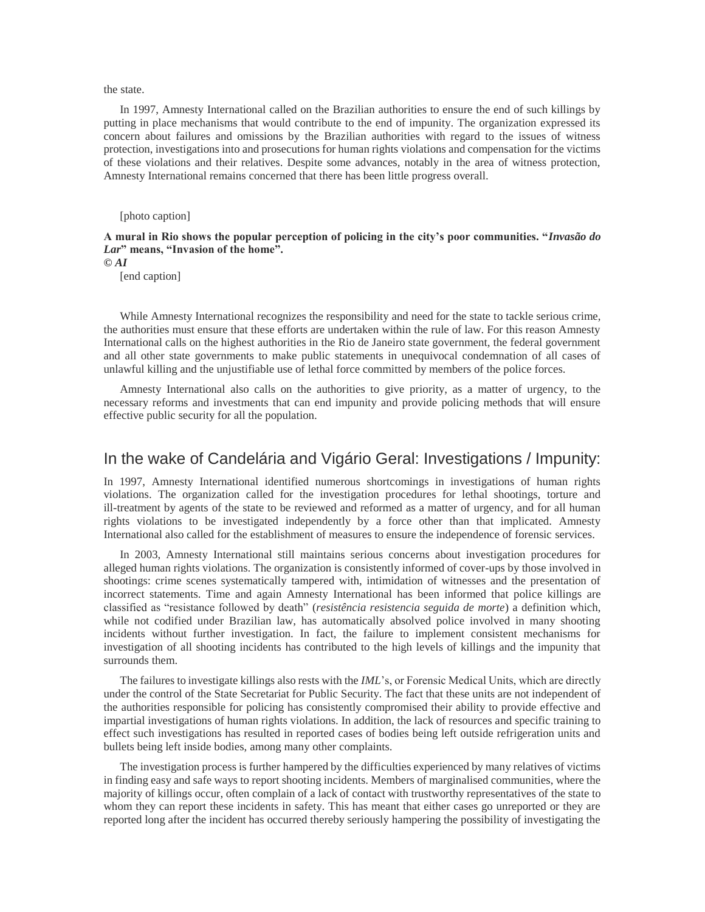the state.

In 1997, Amnesty International called on the Brazilian authorities to ensure the end of such killings by putting in place mechanisms that would contribute to the end of impunity. The organization expressed its concern about failures and omissions by the Brazilian authorities with regard to the issues of witness protection, investigations into and prosecutions for human rights violations and compensation for the victims of these violations and their relatives. Despite some advances, notably in the area of witness protection, Amnesty International remains concerned that there has been little progress overall.

[photo caption]

**A mural in Rio shows the popular perception of policing in the city's poor communities. "***Invasão do Lar***" means, "Invasion of the home".** 

*© AI*

[end caption]

While Amnesty International recognizes the responsibility and need for the state to tackle serious crime, the authorities must ensure that these efforts are undertaken within the rule of law. For this reason Amnesty International calls on the highest authorities in the Rio de Janeiro state government, the federal government and all other state governments to make public statements in unequivocal condemnation of all cases of unlawful killing and the unjustifiable use of lethal force committed by members of the police forces.

Amnesty International also calls on the authorities to give priority, as a matter of urgency, to the necessary reforms and investments that can end impunity and provide policing methods that will ensure effective public security for all the population.

## In the wake of Candelária and Vigário Geral: Investigations / Impunity:

In 1997, Amnesty International identified numerous shortcomings in investigations of human rights violations. The organization called for the investigation procedures for lethal shootings, torture and ill-treatment by agents of the state to be reviewed and reformed as a matter of urgency, and for all human rights violations to be investigated independently by a force other than that implicated. Amnesty International also called for the establishment of measures to ensure the independence of forensic services.

In 2003, Amnesty International still maintains serious concerns about investigation procedures for alleged human rights violations. The organization is consistently informed of cover-ups by those involved in shootings: crime scenes systematically tampered with, intimidation of witnesses and the presentation of incorrect statements. Time and again Amnesty International has been informed that police killings are classified as "resistance followed by death" (*resistência resistencia seguida de morte*) a definition which, while not codified under Brazilian law, has automatically absolved police involved in many shooting incidents without further investigation. In fact, the failure to implement consistent mechanisms for investigation of all shooting incidents has contributed to the high levels of killings and the impunity that surrounds them.

The failures to investigate killings also rests with the *IML*'s, or Forensic Medical Units, which are directly under the control of the State Secretariat for Public Security. The fact that these units are not independent of the authorities responsible for policing has consistently compromised their ability to provide effective and impartial investigations of human rights violations. In addition, the lack of resources and specific training to effect such investigations has resulted in reported cases of bodies being left outside refrigeration units and bullets being left inside bodies, among many other complaints.

The investigation process is further hampered by the difficulties experienced by many relatives of victims in finding easy and safe ways to report shooting incidents. Members of marginalised communities, where the majority of killings occur, often complain of a lack of contact with trustworthy representatives of the state to whom they can report these incidents in safety. This has meant that either cases go unreported or they are reported long after the incident has occurred thereby seriously hampering the possibility of investigating the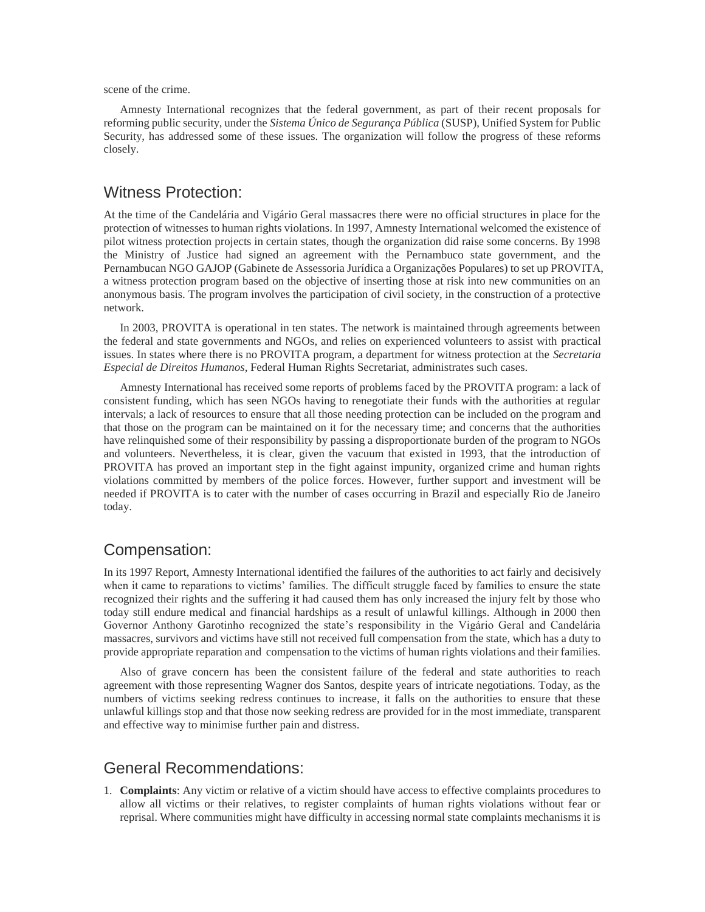scene of the crime.

Amnesty International recognizes that the federal government, as part of their recent proposals for reforming public security, under the *Sistema Único de Segurança Pública* (SUSP), Unified System for Public Security, has addressed some of these issues. The organization will follow the progress of these reforms closely.

### Witness Protection:

At the time of the Candelária and Vigário Geral massacres there were no official structures in place for the protection of witnesses to human rights violations. In 1997, Amnesty International welcomed the existence of pilot witness protection projects in certain states, though the organization did raise some concerns. By 1998 the Ministry of Justice had signed an agreement with the Pernambuco state government, and the Pernambucan NGO GAJOP (Gabinete de Assessoria Jurídica a Organizações Populares) to set up PROVITA, a witness protection program based on the objective of inserting those at risk into new communities on an anonymous basis. The program involves the participation of civil society, in the construction of a protective network.

In 2003, PROVITA is operational in ten states. The network is maintained through agreements between the federal and state governments and NGOs, and relies on experienced volunteers to assist with practical issues. In states where there is no PROVITA program, a department for witness protection at the *Secretaria Especial de Direitos Humanos*, Federal Human Rights Secretariat, administrates such cases.

Amnesty International has received some reports of problems faced by the PROVITA program: a lack of consistent funding, which has seen NGOs having to renegotiate their funds with the authorities at regular intervals; a lack of resources to ensure that all those needing protection can be included on the program and that those on the program can be maintained on it for the necessary time; and concerns that the authorities have relinquished some of their responsibility by passing a disproportionate burden of the program to NGOs and volunteers. Nevertheless, it is clear, given the vacuum that existed in 1993, that the introduction of PROVITA has proved an important step in the fight against impunity, organized crime and human rights violations committed by members of the police forces. However, further support and investment will be needed if PROVITA is to cater with the number of cases occurring in Brazil and especially Rio de Janeiro today.

# Compensation:

In its 1997 Report, Amnesty International identified the failures of the authorities to act fairly and decisively when it came to reparations to victims' families. The difficult struggle faced by families to ensure the state recognized their rights and the suffering it had caused them has only increased the injury felt by those who today still endure medical and financial hardships as a result of unlawful killings. Although in 2000 then Governor Anthony Garotinho recognized the state's responsibility in the Vigário Geral and Candelária massacres, survivors and victims have still not received full compensation from the state, which has a duty to provide appropriate reparation and compensation to the victims of human rights violations and their families.

Also of grave concern has been the consistent failure of the federal and state authorities to reach agreement with those representing Wagner dos Santos, despite years of intricate negotiations. Today, as the numbers of victims seeking redress continues to increase, it falls on the authorities to ensure that these unlawful killings stop and that those now seeking redress are provided for in the most immediate, transparent and effective way to minimise further pain and distress.

## General Recommendations:

1. **Complaints**: Any victim or relative of a victim should have access to effective complaints procedures to allow all victims or their relatives, to register complaints of human rights violations without fear or reprisal. Where communities might have difficulty in accessing normal state complaints mechanisms it is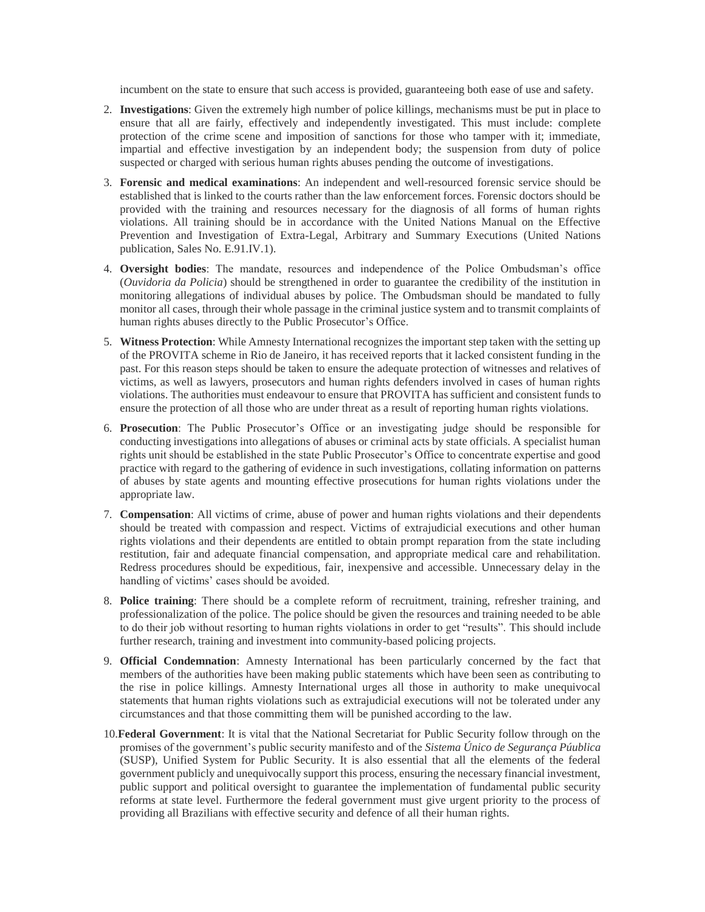incumbent on the state to ensure that such access is provided, guaranteeing both ease of use and safety.

- 2. **Investigations**: Given the extremely high number of police killings, mechanisms must be put in place to ensure that all are fairly, effectively and independently investigated. This must include: complete protection of the crime scene and imposition of sanctions for those who tamper with it; immediate, impartial and effective investigation by an independent body; the suspension from duty of police suspected or charged with serious human rights abuses pending the outcome of investigations.
- 3. **Forensic and medical examinations**: An independent and well-resourced forensic service should be established that is linked to the courts rather than the law enforcement forces. Forensic doctors should be provided with the training and resources necessary for the diagnosis of all forms of human rights violations. All training should be in accordance with the United Nations Manual on the Effective Prevention and Investigation of Extra-Legal, Arbitrary and Summary Executions (United Nations publication, Sales No. E.91.IV.1).
- 4. **Oversight bodies**: The mandate, resources and independence of the Police Ombudsman's office (*Ouvidoria da Policia*) should be strengthened in order to guarantee the credibility of the institution in monitoring allegations of individual abuses by police. The Ombudsman should be mandated to fully monitor all cases, through their whole passage in the criminal justice system and to transmit complaints of human rights abuses directly to the Public Prosecutor's Office.
- 5. **Witness Protection**: While Amnesty International recognizes the important step taken with the setting up of the PROVITA scheme in Rio de Janeiro, it has received reports that it lacked consistent funding in the past. For this reason steps should be taken to ensure the adequate protection of witnesses and relatives of victims, as well as lawyers, prosecutors and human rights defenders involved in cases of human rights violations. The authorities must endeavour to ensure that PROVITA has sufficient and consistent funds to ensure the protection of all those who are under threat as a result of reporting human rights violations.
- 6. **Prosecution**: The Public Prosecutor's Office or an investigating judge should be responsible for conducting investigations into allegations of abuses or criminal acts by state officials. A specialist human rights unit should be established in the state Public Prosecutor's Office to concentrate expertise and good practice with regard to the gathering of evidence in such investigations, collating information on patterns of abuses by state agents and mounting effective prosecutions for human rights violations under the appropriate law.
- 7. **Compensation**: All victims of crime, abuse of power and human rights violations and their dependents should be treated with compassion and respect. Victims of extrajudicial executions and other human rights violations and their dependents are entitled to obtain prompt reparation from the state including restitution, fair and adequate financial compensation, and appropriate medical care and rehabilitation. Redress procedures should be expeditious, fair, inexpensive and accessible. Unnecessary delay in the handling of victims' cases should be avoided.
- 8. **Police training**: There should be a complete reform of recruitment, training, refresher training, and professionalization of the police. The police should be given the resources and training needed to be able to do their job without resorting to human rights violations in order to get "results". This should include further research, training and investment into community-based policing projects.
- 9. **Official Condemnation**: Amnesty International has been particularly concerned by the fact that members of the authorities have been making public statements which have been seen as contributing to the rise in police killings. Amnesty International urges all those in authority to make unequivocal statements that human rights violations such as extrajudicial executions will not be tolerated under any circumstances and that those committing them will be punished according to the law.
- 10.**Federal Government**: It is vital that the National Secretariat for Public Security follow through on the promises of the government's public security manifesto and of the *Sistema Único de Segurança Púublica* (SUSP), Unified System for Public Security. It is also essential that all the elements of the federal government publicly and unequivocally support this process, ensuring the necessary financial investment, public support and political oversight to guarantee the implementation of fundamental public security reforms at state level. Furthermore the federal government must give urgent priority to the process of providing all Brazilians with effective security and defence of all their human rights.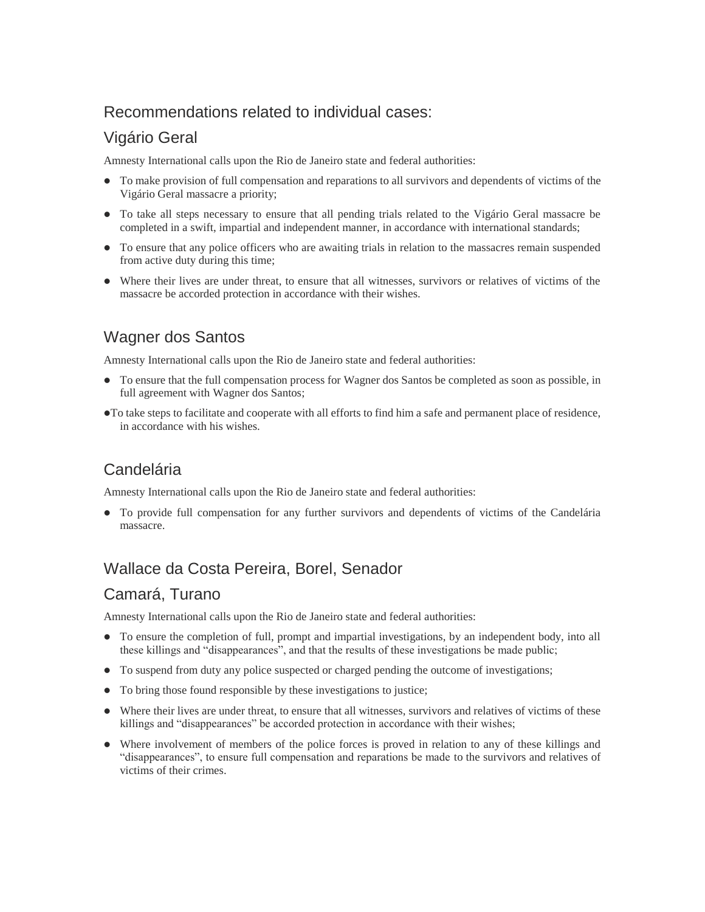# Recommendations related to individual cases:

# Vigário Geral

Amnesty International calls upon the Rio de Janeiro state and federal authorities:

- To make provision of full compensation and reparations to all survivors and dependents of victims of the Vigário Geral massacre a priority;
- To take all steps necessary to ensure that all pending trials related to the Vigário Geral massacre be completed in a swift, impartial and independent manner, in accordance with international standards;
- To ensure that any police officers who are awaiting trials in relation to the massacres remain suspended from active duty during this time;
- Where their lives are under threat, to ensure that all witnesses, survivors or relatives of victims of the massacre be accorded protection in accordance with their wishes.

# Wagner dos Santos

Amnesty International calls upon the Rio de Janeiro state and federal authorities:

- To ensure that the full compensation process for Wagner dos Santos be completed as soon as possible, in full agreement with Wagner dos Santos;
- To take steps to facilitate and cooperate with all efforts to find him a safe and permanent place of residence, in accordance with his wishes.

# **Candelária**

Amnesty International calls upon the Rio de Janeiro state and federal authorities:

 To provide full compensation for any further survivors and dependents of victims of the Candelária massacre.

# Wallace da Costa Pereira, Borel, Senador

# Camará, Turano

Amnesty International calls upon the Rio de Janeiro state and federal authorities:

- To ensure the completion of full, prompt and impartial investigations, by an independent body, into all these killings and "disappearances", and that the results of these investigations be made public;
- To suspend from duty any police suspected or charged pending the outcome of investigations;
- To bring those found responsible by these investigations to justice;
- Where their lives are under threat, to ensure that all witnesses, survivors and relatives of victims of these killings and "disappearances" be accorded protection in accordance with their wishes;
- Where involvement of members of the police forces is proved in relation to any of these killings and "disappearances", to ensure full compensation and reparations be made to the survivors and relatives of victims of their crimes.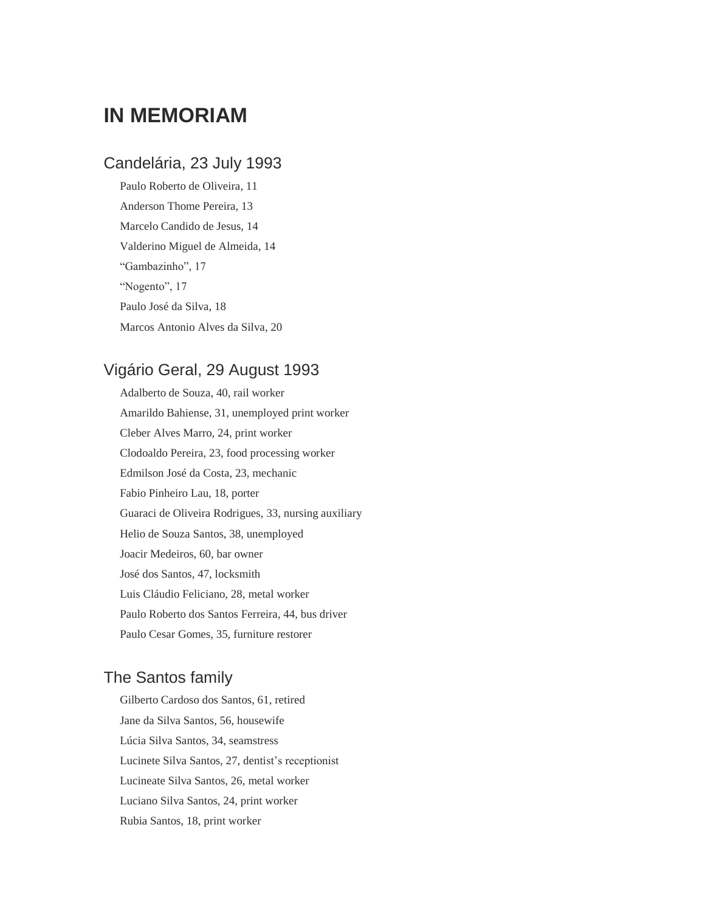# **IN MEMORIAM**

# Candelária, 23 July 1993

Paulo Roberto de Oliveira, 11 Anderson Thome Pereira, 13 Marcelo Candido de Jesus, 14 Valderino Miguel de Almeida, 14 "Gambazinho", 17 "Nogento", 17 Paulo José da Silva, 18 Marcos Antonio Alves da Silva, 20

# Vigário Geral, 29 August 1993

Adalberto de Souza, 40, rail worker Amarildo Bahiense, 31, unemployed print worker Cleber Alves Marro, 24, print worker Clodoaldo Pereira, 23, food processing worker Edmilson José da Costa, 23, mechanic Fabio Pinheiro Lau, 18, porter Guaraci de Oliveira Rodrigues, 33, nursing auxiliary Helio de Souza Santos, 38, unemployed Joacir Medeiros, 60, bar owner José dos Santos, 47, locksmith Luis Cláudio Feliciano, 28, metal worker Paulo Roberto dos Santos Ferreira, 44, bus driver Paulo Cesar Gomes, 35, furniture restorer

# The Santos family

Gilberto Cardoso dos Santos, 61, retired Jane da Silva Santos, 56, housewife Lúcia Silva Santos, 34, seamstress Lucinete Silva Santos, 27, dentist's receptionist Lucineate Silva Santos, 26, metal worker Luciano Silva Santos, 24, print worker Rubia Santos, 18, print worker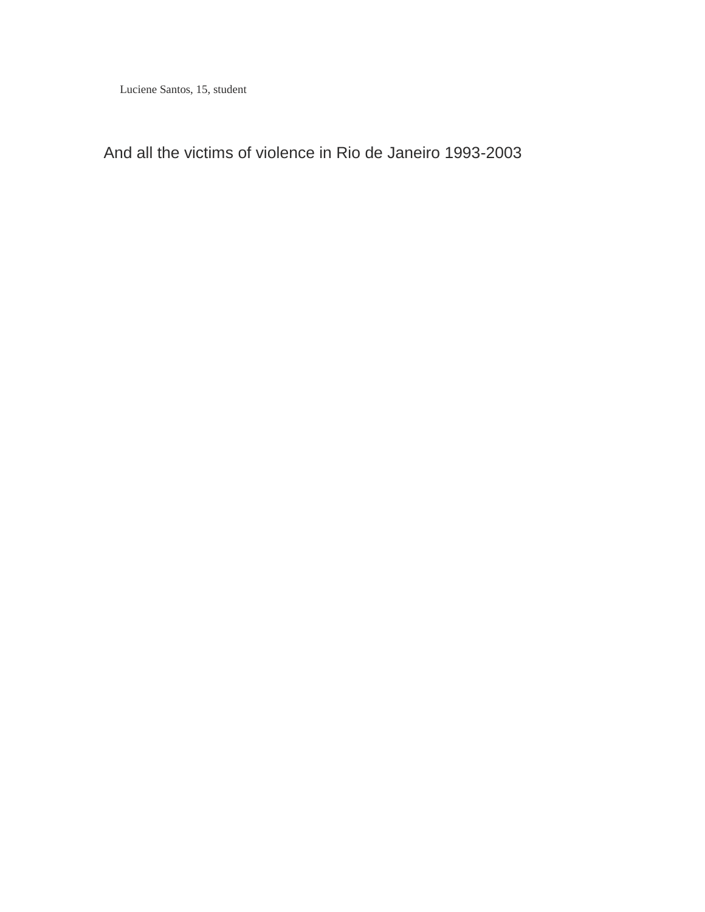Luciene Santos, 15, student

And all the victims of violence in Rio de Janeiro 1993-2003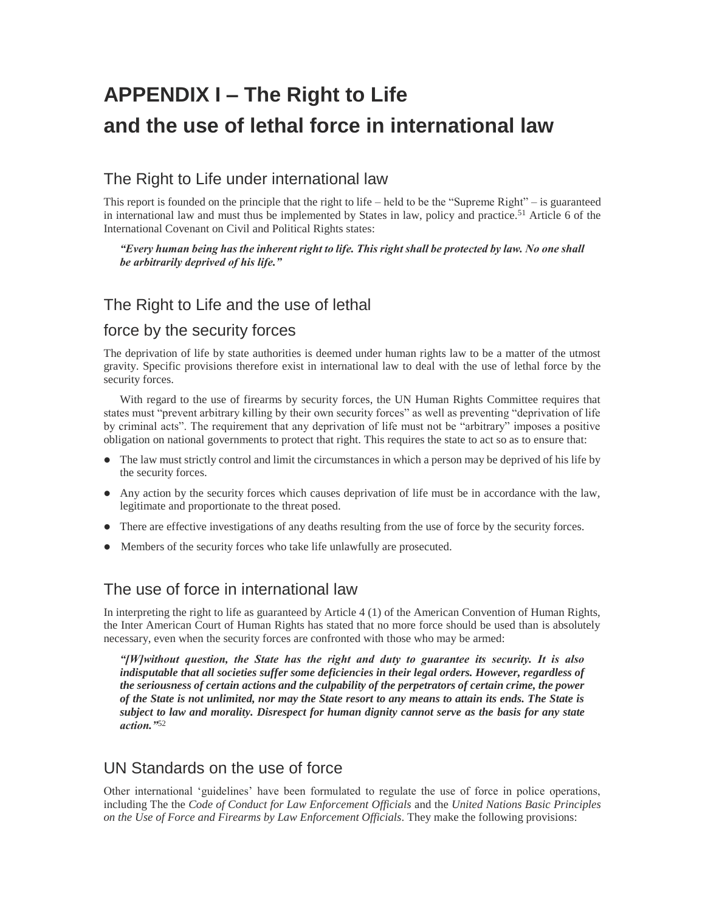# **APPENDIX I – The Right to Life and the use of lethal force in international law**

# The Right to Life under international law

This report is founded on the principle that the right to life – held to be the "Supreme Right" – is guaranteed in international law and must thus be implemented by States in law, policy and practice.<sup>51</sup> Article 6 of the International Covenant on Civil and Political Rights states:

#### *"Every human being has the inherent right to life. This right shall be protected by law. No one shall be arbitrarily deprived of his life."*

# The Right to Life and the use of lethal

## force by the security forces

The deprivation of life by state authorities is deemed under human rights law to be a matter of the utmost gravity. Specific provisions therefore exist in international law to deal with the use of lethal force by the security forces.

With regard to the use of firearms by security forces, the UN Human Rights Committee requires that states must "prevent arbitrary killing by their own security forces" as well as preventing "deprivation of life by criminal acts". The requirement that any deprivation of life must not be "arbitrary" imposes a positive obligation on national governments to protect that right. This requires the state to act so as to ensure that:

- The law must strictly control and limit the circumstances in which a person may be deprived of his life by the security forces.
- Any action by the security forces which causes deprivation of life must be in accordance with the law, legitimate and proportionate to the threat posed.
- There are effective investigations of any deaths resulting from the use of force by the security forces.
- Members of the security forces who take life unlawfully are prosecuted.

# The use of force in international law

In interpreting the right to life as guaranteed by Article 4 (1) of the American Convention of Human Rights, the Inter American Court of Human Rights has stated that no more force should be used than is absolutely necessary, even when the security forces are confronted with those who may be armed:

*"[W]without question, the State has the right and duty to guarantee its security. It is also indisputable that all societies suffer some deficiencies in their legal orders. However, regardless of the seriousness of certain actions and the culpability of the perpetrators of certain crime, the power of the State is not unlimited, nor may the State resort to any means to attain its ends. The State is subject to law and morality. Disrespect for human dignity cannot serve as the basis for any state action."*<sup>52</sup>

# UN Standards on the use of force

Other international 'guidelines' have been formulated to regulate the use of force in police operations, including The the *Code of Conduct for Law Enforcement Officials* and the *United Nations Basic Principles on the Use of Force and Firearms by Law Enforcement Officials*. They make the following provisions: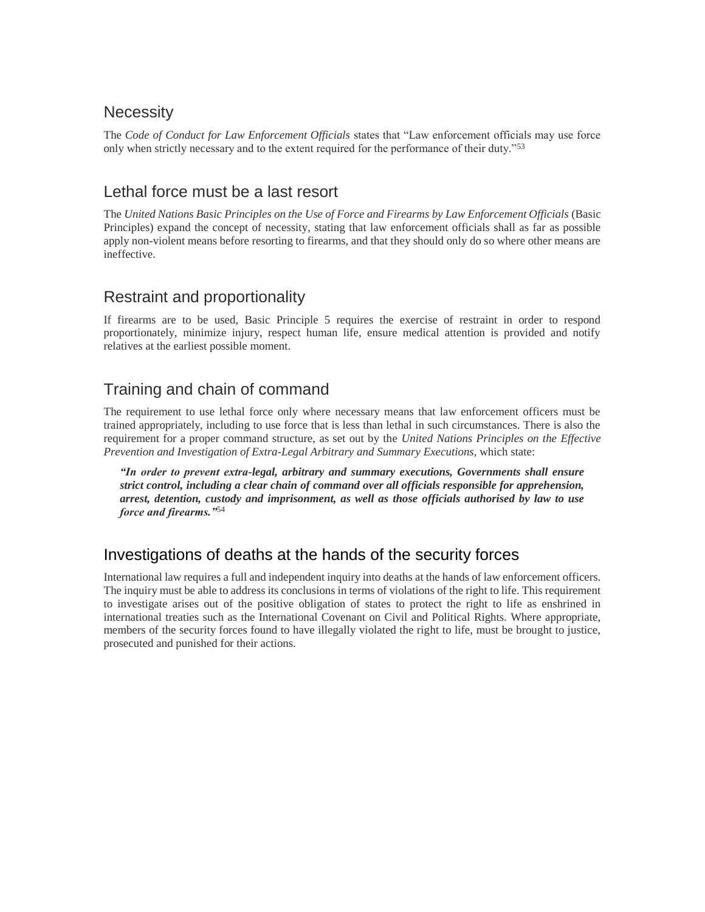# **Necessity**

The *Code of Conduct for Law Enforcement Officials* states that "Law enforcement officials may use force only when strictly necessary and to the extent required for the performance of their duty."<sup>53</sup>

# Lethal force must be a last resort

The *United Nations Basic Principles on the Use of Force and Firearms by Law Enforcement Officials* (Basic Principles) expand the concept of necessity, stating that law enforcement officials shall as far as possible apply non-violent means before resorting to firearms, and that they should only do so where other means are ineffective.

# Restraint and proportionality

If firearms are to be used, Basic Principle 5 requires the exercise of restraint in order to respond proportionately, minimize injury, respect human life, ensure medical attention is provided and notify relatives at the earliest possible moment.

# Training and chain of command

The requirement to use lethal force only where necessary means that law enforcement officers must be trained appropriately, including to use force that is less than lethal in such circumstances. There is also the requirement for a proper command structure, as set out by the *United Nations Principles on the Effective Prevention and Investigation of Extra-Legal Arbitrary and Summary Executions*, which state:

*"In order to prevent extra-legal, arbitrary and summary executions, Governments shall ensure strict control, including a clear chain of command over all officials responsible for apprehension, arrest, detention, custody and imprisonment, as well as those officials authorised by law to use force and firearms."*<sup>54</sup>

# Investigations of deaths at the hands of the security forces

International law requires a full and independent inquiry into deaths at the hands of law enforcement officers. The inquiry must be able to address its conclusions in terms of violations of the right to life. This requirement to investigate arises out of the positive obligation of states to protect the right to life as enshrined in international treaties such as the International Covenant on Civil and Political Rights. Where appropriate, members of the security forces found to have illegally violated the right to life, must be brought to justice, prosecuted and punished for their actions.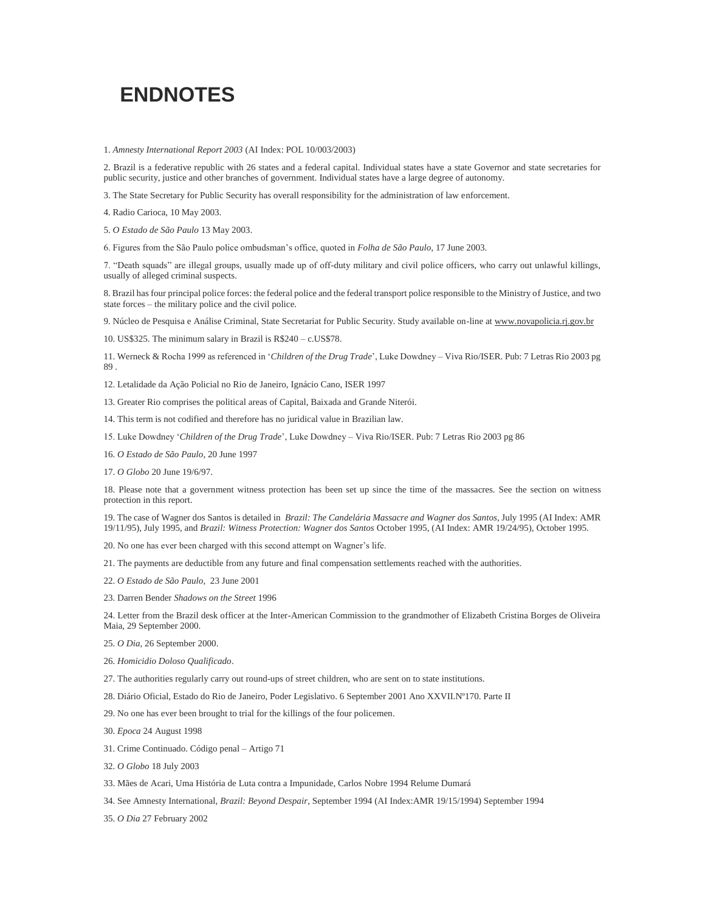# **ENDNOTES**

1. *Amnesty International Report 2003* (AI Index: POL 10/003/2003)

2. Brazil is a federative republic with 26 states and a federal capital. Individual states have a state Governor and state secretaries for public security, justice and other branches of government. Individual states have a large degree of autonomy.

3. The State Secretary for Public Security has overall responsibility for the administration of law enforcement.

4. Radio Carioca, 10 May 2003.

5. *O Estado de São Paulo* 13 May 2003.

6. Figures from the São Paulo police ombudsman's office, quoted in *Folha de São Paulo*, 17 June 2003.

7. "Death squads" are illegal groups, usually made up of off-duty military and civil police officers, who carry out unlawful killings, usually of alleged criminal suspects.

8. Brazil has four principal police forces: the federal police and the federal transport police responsible to the Ministry of Justice, and two state forces – the military police and the civil police.

9. Núcleo de Pesquisa e Análise Criminal, State Secretariat for Public Security. Study available on-line at www.novapolicia.rj.gov.br

10. US\$325. The minimum salary in Brazil is R\$240 – c.US\$78.

11. Werneck & Rocha 1999 as referenced in '*Children of the Drug Trade*', Luke Dowdney – Viva Rio/ISER. Pub: 7 Letras Rio 2003 pg 89 .

12. Letalidade da Ação Policial no Rio de Janeiro, Ignácio Cano, ISER 1997

13. Greater Rio comprises the political areas of Capital, Baixada and Grande Niterói.

14. This term is not codified and therefore has no juridical value in Brazilian law.

15. Luke Dowdney '*Children of the Drug Trade*', Luke Dowdney – Viva Rio/ISER. Pub: 7 Letras Rio 2003 pg 86

16. *O Estado de São Paulo*, 20 June 1997

17. *O Globo* 20 June 19/6/97.

18. Please note that a government witness protection has been set up since the time of the massacres. See the section on witness protection in this report.

19. The case of Wagner dos Santos is detailed in *Brazil: The Candelária Massacre and Wagner dos Santos*, July 1995 (AI Index: AMR 19/11/95), July 1995, and *Brazil: Witness Protection: Wagner dos Santos* October 1995, (AI Index: AMR 19/24/95), October 1995.

20. No one has ever been charged with this second attempt on Wagner's life.

21. The payments are deductible from any future and final compensation settlements reached with the authorities.

22. *O Estado de São Paulo*, 23 June 2001

23. Darren Bender *Shadows on the Street* 1996

24. Letter from the Brazil desk officer at the Inter-American Commission to the grandmother of Elizabeth Cristina Borges de Oliveira Maia, 29 September 2000.

25. *O Dia*, 26 September 2000.

26. *Homicidio Doloso Qualificado*.

27. The authorities regularly carry out round-ups of street children, who are sent on to state institutions.

28. Diário Oficial, Estado do Rio de Janeiro, Poder Legislativo. 6 September 2001 Ano XXVII.Nº170. Parte II

29. No one has ever been brought to trial for the killings of the four policemen.

30. *Epoca* 24 August 1998

31. Crime Continuado. Código penal – Artigo 71

32. *O Globo* 18 July 2003

33. Mães de Acari, Uma História de Luta contra a Impunidade, Carlos Nobre 1994 Relume Dumará

34. See Amnesty International, *Brazil: Beyond Despair*, September 1994 (AI Index:AMR 19/15/1994) September 1994

35. *O Dia* 27 February 2002